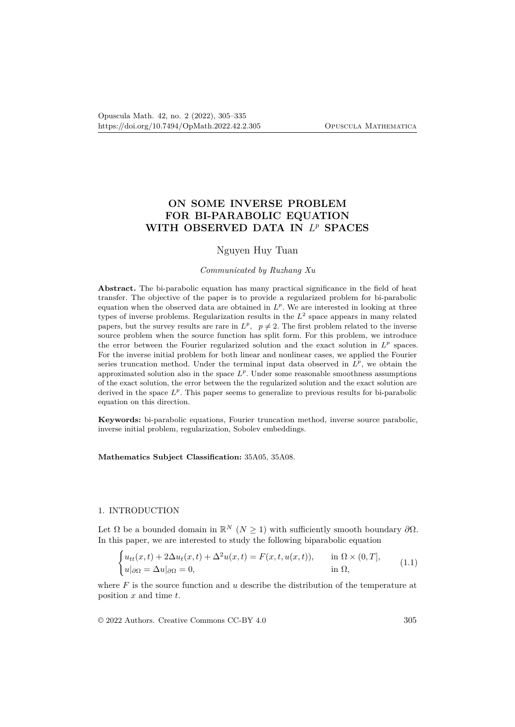# **ON SOME INVERSE PROBLEM FOR BI-PARABOLIC EQUATION WITH OBSERVED DATA IN** *L <sup>p</sup>* **SPACES**

# Nguyen Huy Tuan

### *Communicated by Ruzhang Xu*

**Abstract.** The bi-parabolic equation has many practical significance in the field of heat transfer. The objective of the paper is to provide a regularized problem for bi-parabolic equation when the observed data are obtained in  $L^p$ . We are interested in looking at three types of inverse problems. Regularization results in the *L* 2 space appears in many related papers, but the survey results are rare in  $L^p$ ,  $p \neq 2$ . The first problem related to the inverse source problem when the source function has split form. For this problem, we introduce the error between the Fourier regularized solution and the exact solution in  $L^p$  spaces. For the inverse initial problem for both linear and nonlinear cases, we applied the Fourier series truncation method. Under the terminal input data observed in  $L^p$ , we obtain the approximated solution also in the space  $L^p$ . Under some reasonable smoothness assumptions of the exact solution, the error between the the regularized solution and the exact solution are derived in the space  $L^p$ . This paper seems to generalize to previous results for bi-parabolic equation on this direction.

**Keywords:** bi-parabolic equations, Fourier truncation method, inverse source parabolic, inverse initial problem, regularization, Sobolev embeddings.

**Mathematics Subject Classification:** 35A05, 35A08.

#### 1. INTRODUCTION

Let  $\Omega$  be a bounded domain in  $\mathbb{R}^N$  ( $N \geq 1$ ) with sufficiently smooth boundary  $\partial \Omega$ . In this paper, we are interested to study the following biparabolic equation

$$
\begin{cases} u_{tt}(x,t) + 2\Delta u_t(x,t) + \Delta^2 u(x,t) = F(x,t,u(x,t)), & \text{in } \Omega \times (0,T], \\ u|_{\partial\Omega} = \Delta u|_{\partial\Omega} = 0, & \text{in } \Omega, \end{cases}
$$
(1.1)

where *F* is the source function and *u* describe the distribution of the temperature at position *x* and time *t*.

© 2022 Authors. Creative Commons CC-BY 4.0 305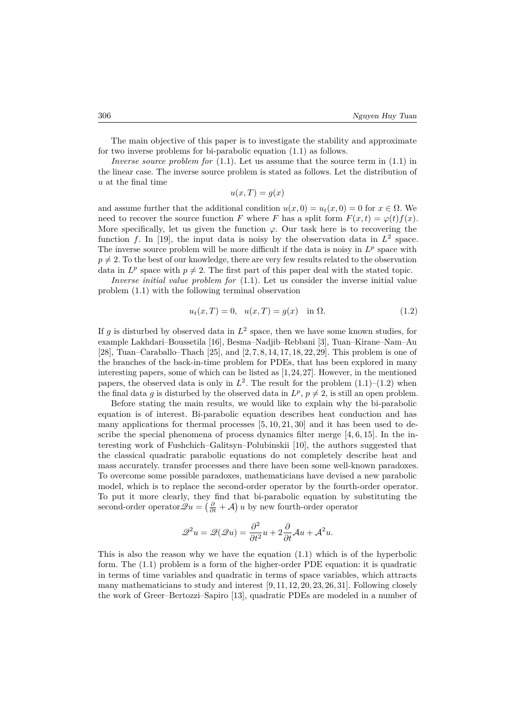The main objective of this paper is to investigate the stability and approximate for two inverse problems for bi-parabolic equation (1.1) as follows.

*Inverse source problem for* (1.1). Let us assume that the source term in (1.1) in the linear case. The inverse source problem is stated as follows. Let the distribution of *u* at the final time

$$
u(x,T) = g(x)
$$

and assume further that the additional condition  $u(x, 0) = u_t(x, 0) = 0$  for  $x \in \Omega$ . We need to recover the source function *F* where *F* has a split form  $F(x,t) = \varphi(t)f(x)$ . More specifically, let us given the function  $\varphi$ . Our task here is to recovering the function  $f$ . In [19], the input data is noisy by the observation data in  $L^2$  space. The inverse source problem will be more difficult if the data is noisy in  $L^p$  space with  $p \neq 2$ . To the best of our knowledge, there are very few results related to the observation data in  $L^p$  space with  $p \neq 2$ . The first part of this paper deal with the stated topic.

*Inverse initial value problem for* (1.1). Let us consider the inverse initial value problem (1.1) with the following terminal observation

$$
u_t(x,T) = 0, \quad u(x,T) = g(x) \quad \text{in } \Omega.
$$
 (1.2)

If  $g$  is disturbed by observed data in  $L^2$  space, then we have some known studies, for example Lakhdari–Boussetila [16], Besma–Nadjib–Rebbani [3], Tuan–Kirane–Nam–Au [28], Tuan–Caraballo–Thach [25], and [2, 7, 8, 14, 17, 18, 22, 29]. This problem is one of the branches of the back-in-time problem for PDEs, that has been explored in many interesting papers, some of which can be listed as [1,24,27]. However, in the mentioned papers, the observed data is only in  $L^2$ . The result for the problem  $(1.1)$ – $(1.2)$  when the final data *g* is disturbed by the observed data in  $L^p$ ,  $p \neq 2$ , is still an open problem.

Before stating the main results, we would like to explain why the bi-parabolic equation is of interest. Bi-parabolic equation describes heat conduction and has many applications for thermal processes  $[5, 10, 21, 30]$  and it has been used to describe the special phenomena of process dynamics filter merge  $[4, 6, 15]$ . In the interesting work of Fushchich–Galitsyn–Polubinskii [10], the authors suggested that the classical quadratic parabolic equations do not completely describe heat and mass accurately. transfer processes and there have been some well-known paradoxes. To overcome some possible paradoxes, mathematicians have devised a new parabolic model, which is to replace the second-order operator by the fourth-order operator. To put it more clearly, they find that bi-parabolic equation by substituting the second-order operator  $\mathscr{Q}u = (\frac{\partial}{\partial t} + \mathcal{A}) u$  by new fourth-order operator

$$
\mathscr{Q}^2 u = \mathscr{Q}(\mathscr{Q}u) = \frac{\partial^2}{\partial t^2} u + 2\frac{\partial}{\partial t} \mathcal{A}u + \mathcal{A}^2 u.
$$

This is also the reason why we have the equation (1.1) which is of the hyperbolic form. The (1.1) problem is a form of the higher-order PDE equation: it is quadratic in terms of time variables and quadratic in terms of space variables, which attracts many mathematicians to study and interest [9, 11, 12, 20, 23, 26, 31]. Following closely the work of Greer–Bertozzi–Sapiro [13], quadratic PDEs are modeled in a number of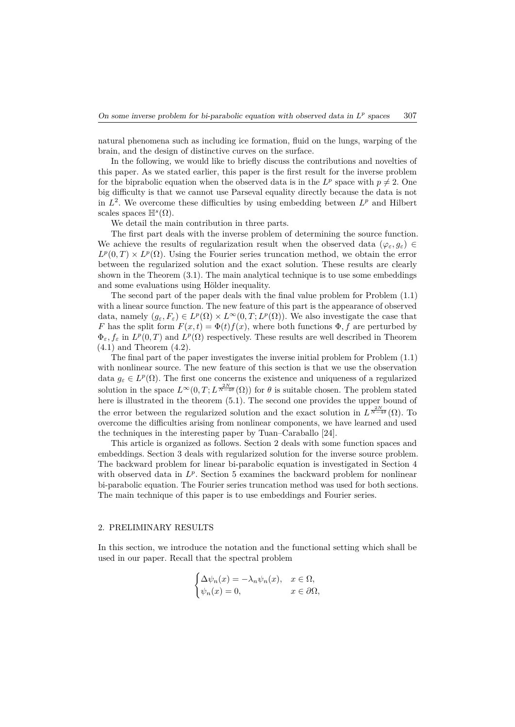natural phenomena such as including ice formation, fluid on the lungs, warping of the brain, and the design of distinctive curves on the surface.

In the following, we would like to briefly discuss the contributions and novelties of this paper. As we stated earlier, this paper is the first result for the inverse problem for the biprabolic equation when the observed data is in the  $L^p$  space with  $p \neq 2$ . One big difficulty is that we cannot use Parseval equality directly because the data is not in  $L^2$ . We overcome these difficulties by using embedding between  $L^p$  and Hilbert scales spaces  $\mathbb{H}^s(\Omega)$ .

We detail the main contribution in three parts.

The first part deals with the inverse problem of determining the source function. We achieve the results of regularization result when the observed data  $(\varphi_{\varepsilon}, q_{\varepsilon}) \in$  $L^p(0,T) \times L^p(\Omega)$ . Using the Fourier series truncation method, we obtain the error between the regularized solution and the exact solution. These results are clearly shown in the Theorem (3.1). The main analytical technique is to use some embeddings and some evaluations using Hölder inequality.

The second part of the paper deals with the final value problem for Problem (1.1) with a linear source function. The new feature of this part is the appearance of observed data, namely  $(g_{\varepsilon}, F_{\varepsilon}) \in L^p(\Omega) \times L^{\infty}(0,T; L^p(\Omega))$ . We also investigate the case that *F* has the split form  $F(x,t) = \Phi(t) f(x)$ , where both functions  $\Phi$ , f are perturbed by  $\Phi_{\varepsilon}$ ,  $f_{\varepsilon}$  in  $L^p(0,T)$  and  $L^p(\Omega)$  respectively. These results are well described in Theorem (4.1) and Theorem (4.2).

The final part of the paper investigates the inverse initial problem for Problem (1.1) with nonlinear source. The new feature of this section is that we use the observation data  $g_{\varepsilon} \in L^p(\Omega)$ . The first one concerns the existence and uniqueness of a regularized solution in the space  $L^{\infty}(0,T; L^{\frac{2N}{N-4\theta}}(\Omega))$  for  $\theta$  is suitable chosen. The problem stated here is illustrated in the theorem (5.1). The second one provides the upper bound of the error between the regularized solution and the exact solution in  $L^{\frac{2N}{N-4\theta}}(\Omega)$ . To overcome the difficulties arising from nonlinear components, we have learned and used the techniques in the interesting paper by Tuan–Caraballo [24].

This article is organized as follows. Section 2 deals with some function spaces and embeddings. Section 3 deals with regularized solution for the inverse source problem. The backward problem for linear bi-parabolic equation is investigated in Section 4 with observed data in  $L^p$ . Section 5 examines the backward problem for nonlinear bi-parabolic equation. The Fourier series truncation method was used for both sections. The main technique of this paper is to use embeddings and Fourier series.

#### 2. PRELIMINARY RESULTS

In this section, we introduce the notation and the functional setting which shall be used in our paper. Recall that the spectral problem

$$
\begin{cases} \Delta \psi_n(x) = -\lambda_n \psi_n(x), & x \in \Omega, \\ \psi_n(x) = 0, & x \in \partial \Omega, \end{cases}
$$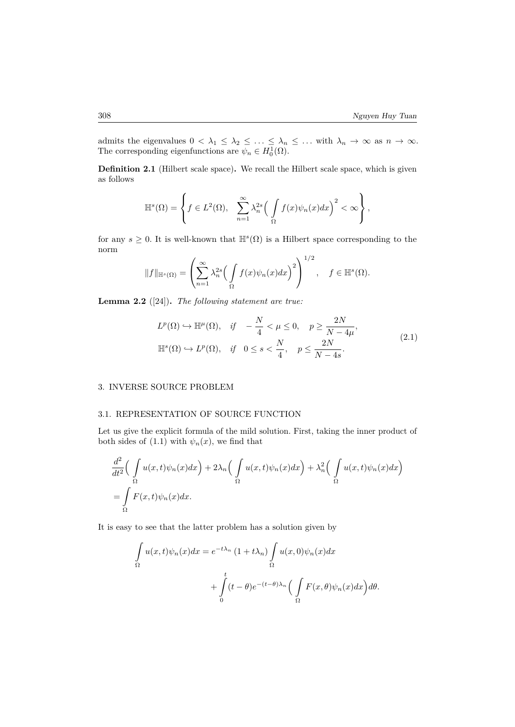admits the eigenvalues  $0 < \lambda_1 \leq \lambda_2 \leq \ldots \leq \lambda_n \leq \ldots$  with  $\lambda_n \to \infty$  as  $n \to \infty$ . The corresponding eigenfunctions are  $\psi_n \in H_0^1(\Omega)$ .

**Definition 2.1** (Hilbert scale space)**.** We recall the Hilbert scale space, which is given as follows

$$
\mathbb{H}^{s}(\Omega) = \left\{ f \in L^{2}(\Omega), \sum_{n=1}^{\infty} \lambda_{n}^{2s} \left( \int_{\Omega} f(x) \psi_{n}(x) dx \right)^{2} < \infty \right\},
$$

for any  $s \geq 0$ . It is well-known that  $\mathbb{H}^s(\Omega)$  is a Hilbert space corresponding to the norm 1*/*2

$$
||f||_{\mathbb{H}^{s}(\Omega)} = \left(\sum_{n=1}^{\infty} \lambda_n^{2s} \left(\int_{\Omega} f(x)\psi_n(x)dx\right)^2\right)^{1/2}, \quad f \in \mathbb{H}^{s}(\Omega).
$$

**Lemma 2.2** ([24])**.** *The following statement are true:*

$$
L^{p}(\Omega) \hookrightarrow \mathbb{H}^{\mu}(\Omega), \quad if \quad -\frac{N}{4} < \mu \leq 0, \quad p \geq \frac{2N}{N-4\mu},
$$
  

$$
\mathbb{H}^{s}(\Omega) \hookrightarrow L^{p}(\Omega), \quad if \quad 0 \leq s < \frac{N}{4}, \quad p \leq \frac{2N}{N-4s}.
$$
 (2.1)

#### 3. INVERSE SOURCE PROBLEM

#### 3.1. REPRESENTATION OF SOURCE FUNCTION

Let us give the explicit formula of the mild solution. First, taking the inner product of both sides of (1.1) with  $\psi_n(x)$ , we find that

$$
\frac{d^2}{dt^2} \Big( \int_{\Omega} u(x,t) \psi_n(x) dx \Big) + 2\lambda_n \Big( \int_{\Omega} u(x,t) \psi_n(x) dx \Big) + \lambda_n^2 \Big( \int_{\Omega} u(x,t) \psi_n(x) dx \Big)
$$

$$
= \int_{\Omega} F(x,t) \psi_n(x) dx.
$$

It is easy to see that the latter problem has a solution given by

$$
\int_{\Omega} u(x,t)\psi_n(x)dx = e^{-t\lambda_n} (1+t\lambda_n) \int_{\Omega} u(x,0)\psi_n(x)dx
$$

$$
+ \int_{0}^{t} (t-\theta)e^{-(t-\theta)\lambda_n} \Big(\int_{\Omega} F(x,\theta)\psi_n(x)dx\Big)d\theta.
$$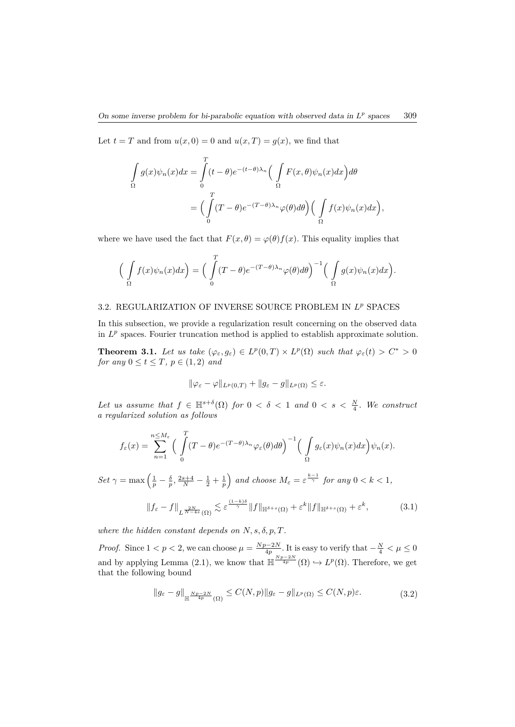Let  $t = T$  and from  $u(x, 0) = 0$  and  $u(x, T) = g(x)$ , we find that

$$
\int_{\Omega} g(x)\psi_n(x)dx = \int_{0}^{T} (t-\theta)e^{-(t-\theta)\lambda_n} \Big(\int_{\Omega} F(x,\theta)\psi_n(x)dx\Big)d\theta
$$

$$
= \Big(\int_{0}^{T} (T-\theta)e^{-(T-\theta)\lambda_n}\varphi(\theta)d\theta\Big) \Big(\int_{\Omega} f(x)\psi_n(x)dx\Big),
$$

where we have used the fact that  $F(x, \theta) = \varphi(\theta) f(x)$ . This equality implies that

$$
\Big(\int\limits_{\Omega} f(x)\psi_n(x)dx\Big) = \Big(\int\limits_0^T (T-\theta)e^{-(T-\theta)\lambda_n}\varphi(\theta)d\theta\Big)^{-1}\Big(\int\limits_{\Omega} g(x)\psi_n(x)dx\Big).
$$

## 3.2. REGULARIZATION OF INVERSE SOURCE PROBLEM IN *L <sup>p</sup>* SPACES

In this subsection, we provide a regularization result concerning on the observed data in  $L^p$  spaces. Fourier truncation method is applied to establish approximate solution.

**Theorem 3.1.** Let us take  $(\varphi_{\varepsilon}, g_{\varepsilon}) \in L^p(0,T) \times L^p(\Omega)$  such that  $\varphi_{\varepsilon}(t) > C^* > 0$ *for any*  $0 \le t \le T$ *,*  $p \in (1, 2)$  *and* 

$$
\|\varphi_{\varepsilon}-\varphi\|_{L^p(0,T)}+\|g_{\varepsilon}-g\|_{L^p(\Omega)}\leq\varepsilon.
$$

Let us assume that  $f \in \mathbb{H}^{s+\delta}(\Omega)$  for  $0 < \delta < 1$  and  $0 < s < \frac{N}{4}$ . We construct *a regularized solution as follows*

$$
f_\varepsilon(x)=\sum_{n=1}^{n\leq M_\varepsilon}\Big(\int\limits_0^T(T-\theta)e^{-(T-\theta)\lambda_n}\varphi_\varepsilon(\theta)d\theta\Big)^{-1}\Big(\int\limits_\Omega g_\varepsilon(x)\psi_n(x)dx\Big)\psi_n(x).
$$

*Set*  $\gamma = \max\left(\frac{1}{p} - \frac{\delta}{p}, \frac{2s+4}{N} - \frac{1}{2} + \frac{1}{p}\right)$ *and choose*  $M_{\varepsilon} = \varepsilon^{\frac{k-1}{\gamma}}$  *for any*  $0 < k < 1$ *,* 

$$
||f_{\varepsilon} - f||_{L^{\frac{2N}{N-4s}}(\Omega)} \lesssim \varepsilon^{\frac{(1-k)\delta}{\gamma}} ||f||_{\mathbb{H}^{\delta+s}(\Omega)} + \varepsilon^k ||f||_{\mathbb{H}^{\delta+s}(\Omega)} + \varepsilon^k,
$$
 (3.1)

*where the hidden constant depends on*  $N, s, \delta, p, T$ *.* 

*Proof.* Since  $1 < p < 2$ , we can choose  $\mu = \frac{Np-2N}{4p}$ . It is easy to verify that  $-\frac{N}{4} < \mu \leq 0$ and by applying Lemma (2.1), we know that  $\mathbb{H} \frac{Np-2N}{4p}(\Omega) \hookrightarrow L^p(\Omega)$ . Therefore, we get that the following bound

$$
||g_{\varepsilon} - g||_{\mathbb{H}^{\frac{Np-2N}{4p}}(\Omega)} \le C(N,p)||g_{\varepsilon} - g||_{L^p(\Omega)} \le C(N,p)\varepsilon.
$$
\n(3.2)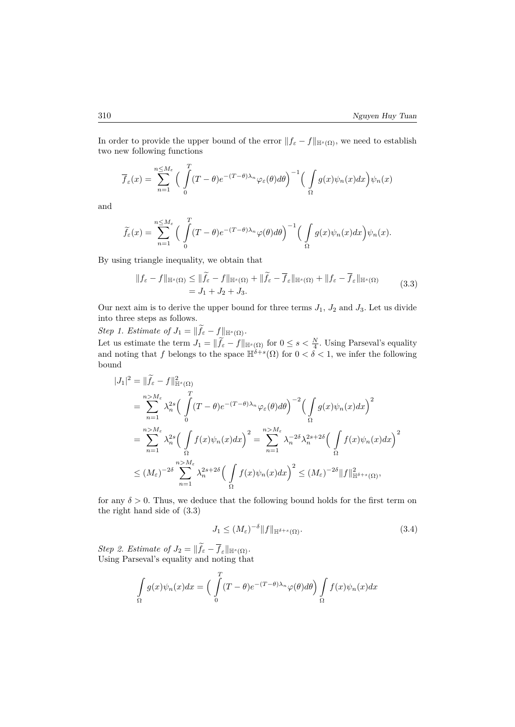In order to provide the upper bound of the error  $||f_{\varepsilon} - f||_{\mathbb{H}^{s}(\Omega)}$ , we need to establish two new following functions

$$
\overline{f}_{\varepsilon}(x) = \sum_{n=1}^{n \le M_{\varepsilon}} \Big( \int_{0}^{T} (T - \theta) e^{-(T - \theta)\lambda_{n}} \varphi_{\varepsilon}(\theta) d\theta \Big)^{-1} \Big( \int_{\Omega} g(x) \psi_{n}(x) dx \Big) \psi_{n}(x)
$$

and

$$
\widetilde{f}_{\varepsilon}(x) = \sum_{n=1}^{n \leq M_{\varepsilon}} \Big( \int_{0}^{T} (T - \theta) e^{-(T - \theta)\lambda_{n}} \varphi(\theta) d\theta \Big)^{-1} \Big( \int_{\Omega} g(x) \psi_{n}(x) dx \Big) \psi_{n}(x).
$$

By using triangle inequality, we obtain that

$$
\|f_{\varepsilon} - f\|_{\mathbb{H}^{s}(\Omega)} \leq \|\tilde{f}_{\varepsilon} - f\|_{\mathbb{H}^{s}(\Omega)} + \|\tilde{f}_{\varepsilon} - \overline{f}_{\varepsilon}\|_{\mathbb{H}^{s}(\Omega)} + \|f_{\varepsilon} - \overline{f}_{\varepsilon}\|_{\mathbb{H}^{s}(\Omega)}
$$
\n
$$
= J_{1} + J_{2} + J_{3}.
$$
\n(3.3)

Our next aim is to derive the upper bound for three terms  $J_1$ ,  $J_2$  and  $J_3$ . Let us divide into three steps as follows.

*Step 1. Estimate of*  $J_1 = ||\tilde{f}_{\varepsilon} - f||_{\mathbb{H}^s(\Omega)}$ .

Let us estimate the term  $J_1 = ||\tilde{f}_{\varepsilon} - f||_{\mathbb{H}^s(\Omega)}$  for  $0 \le s < \frac{N}{4}$ . Using Parseval's equality and noting that *f* belongs to the space  $\mathbb{H}^{\delta+s}(\Omega)$  for  $0 < \delta < 1$ , we infer the following bound

$$
|J_{1}|^{2} = \|\tilde{f}_{\varepsilon} - f\|_{\mathbb{H}^{s}(\Omega)}^{2}
$$
  
\n
$$
= \sum_{n=1}^{n>M_{\varepsilon}} \lambda_{n}^{2s} \Big(\int_{0}^{T} (T - \theta) e^{-(T - \theta)\lambda_{n}} \varphi_{\varepsilon}(\theta) d\theta\Big)^{-2} \Big(\int_{\Omega} g(x) \psi_{n}(x) dx\Big)^{2}
$$
  
\n
$$
= \sum_{n=1}^{n>M_{\varepsilon}} \lambda_{n}^{2s} \Big(\int_{\Omega} f(x) \psi_{n}(x) dx\Big)^{2} = \sum_{n=1}^{n>M_{\varepsilon}} \lambda_{n}^{-2\delta} \lambda_{n}^{2s+2\delta} \Big(\int_{\Omega} f(x) \psi_{n}(x) dx\Big)^{2}
$$
  
\n
$$
\leq (M_{\varepsilon})^{-2\delta} \sum_{n=1}^{n>M_{\varepsilon}} \lambda_{n}^{2s+2\delta} \Big(\int_{\Omega} f(x) \psi_{n}(x) dx\Big)^{2} \leq (M_{\varepsilon})^{-2\delta} \|f\|_{\mathbb{H}^{\delta+s}(\Omega)}^{2},
$$

for any  $\delta > 0$ . Thus, we deduce that the following bound holds for the first term on the right hand side of (3.3)

$$
J_1 \le (M_{\varepsilon})^{-\delta} \|f\|_{\mathbb{H}^{\delta+s}(\Omega)}.
$$
\n(3.4)

*Step 2. Estimate of*  $J_2 = ||f_{\varepsilon} - \overline{f}_{\varepsilon}||_{\mathbb{H}^s(\Omega)}$ . Using Parseval's equality and noting that

$$
\int_{\Omega} g(x)\psi_n(x)dx = \left(\int_{0}^{T} (T-\theta)e^{-(T-\theta)\lambda_n}\varphi(\theta)d\theta\right)\int_{\Omega} f(x)\psi_n(x)dx
$$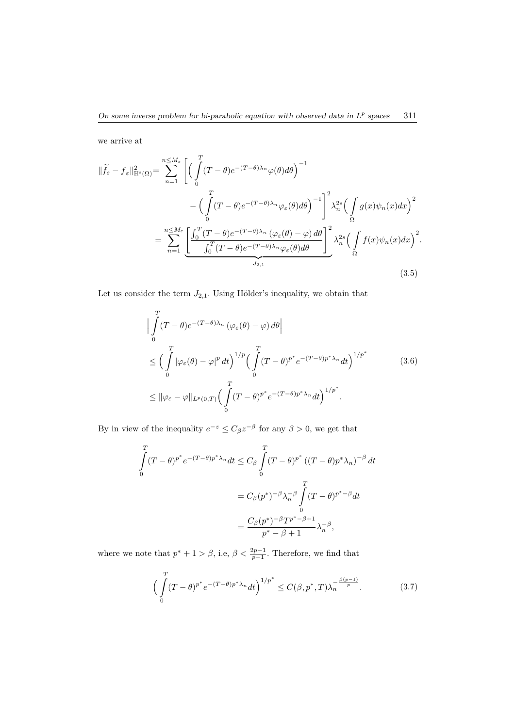we arrive at

$$
\|\widetilde{f}_{\varepsilon} - \overline{f}_{\varepsilon}\|_{\mathbb{H}^{s}(\Omega)}^{2} = \sum_{n=1}^{n \leq M_{\varepsilon}} \left[ \left( \int_{0}^{T} (T - \theta) e^{-(T - \theta)\lambda_{n}} \varphi(\theta) d\theta \right)^{-1} - \left( \int_{0}^{T} (T - \theta) e^{-(T - \theta)\lambda_{n}} \varphi_{\varepsilon}(\theta) d\theta \right)^{-1} \right]_{\Omega}^{2} \lambda_{n}^{2s} \left( \int_{\Omega} g(x) \psi_{n}(x) dx \right)^{2}
$$

$$
= \sum_{n=1}^{n \leq M_{\varepsilon}} \underbrace{\left[ \int_{0}^{T} (T - \theta) e^{-(T - \theta)\lambda_{n}} \left( \varphi_{\varepsilon}(\theta) - \varphi \right) d\theta \right]}_{J_{2,1}}^{2} \lambda_{n}^{2s} \left( \int_{\Omega} f(x) \psi_{n}(x) dx \right)^{2}.
$$
\n(3.5)

Let us consider the term  $J_{2,1}.$  Using Hölder's inequality, we obtain that

$$
\left| \int_{0}^{T} (T - \theta) e^{-(T - \theta)\lambda_{n}} \left( \varphi_{\varepsilon}(\theta) - \varphi \right) d\theta \right|
$$
  
\n
$$
\leq \left( \int_{0}^{T} \left| \varphi_{\varepsilon}(\theta) - \varphi \right|^{p} dt \right)^{1/p} \left( \int_{0}^{T} (T - \theta)^{p^{*}} e^{-(T - \theta)p^{*}\lambda_{n}} dt \right)^{1/p^{*}}
$$
(3.6)  
\n
$$
\leq \left\| \varphi_{\varepsilon} - \varphi \right\|_{L^{p}(0,T)} \left( \int_{0}^{T} (T - \theta)^{p^{*}} e^{-(T - \theta)p^{*}\lambda_{n}} dt \right)^{1/p^{*}}.
$$

By in view of the inequality  $e^{-z} \leq C_\beta z^{-\beta}$  for any  $\beta > 0$ , we get that

$$
\int_{0}^{T} (T - \theta)^{p^*} e^{-(T - \theta)p^* \lambda_n} dt \leq C_{\beta} \int_{0}^{T} (T - \theta)^{p^*} ((T - \theta)p^* \lambda_n)^{-\beta} dt
$$

$$
= C_{\beta}(p^*)^{-\beta} \lambda_n^{-\beta} \int_{0}^{T} (T - \theta)^{p^* - \beta} dt
$$

$$
= \frac{C_{\beta}(p^*)^{-\beta} T^{p^* - \beta + 1}}{p^* - \beta + 1} \lambda_n^{-\beta},
$$

where we note that  $p^* + 1 > \beta$ , i.e,  $\beta < \frac{2p-1}{p-1}$ . Therefore, we find that

$$
\left(\int_{0}^{T} (T-\theta)^{p^*} e^{-(T-\theta)p^* \lambda_n} dt\right)^{1/p^*} \le C(\beta, p^*, T) \lambda_n^{-\frac{\beta(p-1)}{p}}.
$$
 (3.7)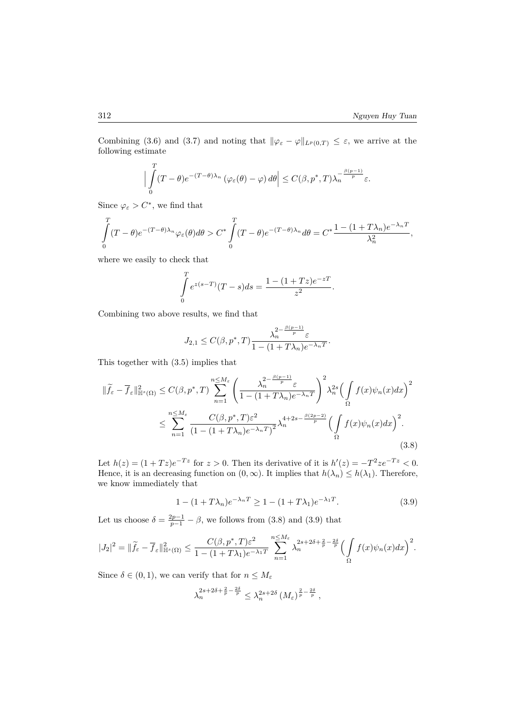Combining (3.6) and (3.7) and noting that  $\|\varphi_{\varepsilon} - \varphi\|_{L^p(0,T)} \leq \varepsilon$ , we arrive at the following estimate

$$
\Big|\int_{0}^{T} (T-\theta)e^{-(T-\theta)\lambda_n} \left(\varphi_{\varepsilon}(\theta) - \varphi\right) d\theta\Big| \leq C(\beta, p^*, T)\lambda_n^{-\frac{\beta(p-1)}{p}} \varepsilon.
$$

Since  $\varphi_{\varepsilon} > C^*$ , we find that

$$
\int_{0}^{T} (T - \theta)e^{-(T - \theta)\lambda_n} \varphi_{\varepsilon}(\theta) d\theta > C^* \int_{0}^{T} (T - \theta)e^{-(T - \theta)\lambda_n} d\theta = C^* \frac{1 - (1 + T\lambda_n)e^{-\lambda_n T}}{\lambda_n^2},
$$

where we easily to check that

$$
\int_{0}^{T} e^{z(s-T)}(T-s)ds = \frac{1 - (1+Tz)e^{-zT}}{z^2}.
$$

Combining two above results, we find that

$$
J_{2,1} \leq C(\beta, p^*, T) \frac{\lambda_n^{2 - \frac{\beta(p-1)}{p}} \varepsilon}{1 - (1 + T\lambda_n)e^{-\lambda_n T}}.
$$

This together with (3.5) implies that

$$
\|\widetilde{f}_{\varepsilon} - \overline{f}_{\varepsilon}\|_{\mathbb{H}^{s}(\Omega)}^{2} \le C(\beta, p^{*}, T) \sum_{n=1}^{n \le M_{\varepsilon}} \left( \frac{\lambda_{n}^{2 - \frac{\beta(p-1)}{p}} \varepsilon}{1 - (1 + T\lambda_{n})e^{-\lambda_{n}T}} \right)^{2} \lambda_{n}^{2s} \left( \int_{\Omega} f(x)\psi_{n}(x)dx \right)^{2} \le \sum_{n=1}^{n \le M_{\varepsilon}} \frac{C(\beta, p^{*}, T)\varepsilon^{2}}{(1 - (1 + T\lambda_{n})e^{-\lambda_{n}T})^{2}} \lambda_{n}^{4 + 2s - \frac{\beta(2p-2)}{p}} \left( \int_{\Omega} f(x)\psi_{n}(x)dx \right)^{2}.
$$
\n(3.8)

Let  $h(z) = (1 + Tz)e^{-Tz}$  for  $z > 0$ . Then its derivative of it is  $h'(z) = -T^2 z e^{-Tz} < 0$ . Hence, it is an decreasing function on  $(0, \infty)$ . It implies that  $h(\lambda_n) \leq h(\lambda_1)$ . Therefore, we know immediately that

$$
1 - (1 + T\lambda_n)e^{-\lambda_n T} \ge 1 - (1 + T\lambda_1)e^{-\lambda_1 T}.
$$
\n(3.9)

Let us choose  $\delta = \frac{2p-1}{p-1} - \beta$ , we follows from (3.8) and (3.9) that

$$
|J_2|^2 = \|\widetilde{f}_{\varepsilon} - \overline{f}_{\varepsilon}\|^2_{\mathbb{H}^s(\Omega)} \leq \frac{C(\beta, p^*, T)\varepsilon^2}{1 - (1 + T\lambda_1)e^{-\lambda_1T}} \sum_{n=1}^{n \leq M_{\varepsilon}} \lambda_n^{2s + 2\delta + \frac{2}{p} - \frac{2\delta}{p}} \Big(\int\limits_{\Omega} f(x)\psi_n(x)dx\Big)^2.
$$

Since  $\delta \in (0, 1)$ , we can verify that for  $n \leq M_{\varepsilon}$ 

$$
\lambda_n^{2s+2\delta+\frac{2}{p}-\frac{2\delta}{p}} \leq \lambda_n^{2s+2\delta} \left(M_{\varepsilon}\right)^{\frac{2}{p}-\frac{2\delta}{p}},
$$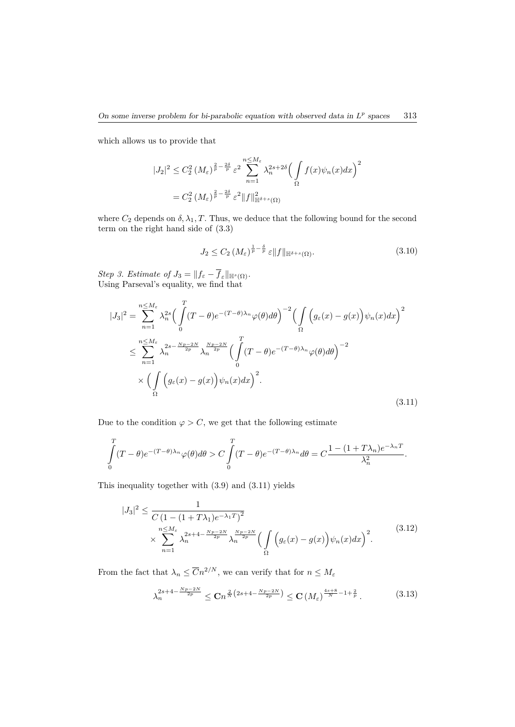which allows us to provide that

$$
|J_2|^2 \leq C_2^2 \left(M_\varepsilon\right)^{\frac{2}{p} - \frac{2\delta}{p}} \varepsilon^2 \sum_{n=1}^{n \leq M_\varepsilon} \lambda_n^{2s + 2\delta} \left(\int\limits_{\Omega} f(x) \psi_n(x) dx\right)^2
$$
  
=  $C_2^2 \left(M_\varepsilon\right)^{\frac{2}{p} - \frac{2\delta}{p}} \varepsilon^2 \|f\|_{\mathbb{H}^{\delta+s}(\Omega)}^2$ 

where  $C_2$  depends on  $\delta$ ,  $\lambda_1$ ,  $T$ . Thus, we deduce that the following bound for the second term on the right hand side of (3.3)

$$
J_2 \le C_2 \left( M_\varepsilon \right)^{\frac{1}{p} - \frac{\delta}{p}} \varepsilon \|f\|_{\mathbb{H}^{\delta+s}(\Omega)}.
$$
\n(3.10)

 $Step 3. Estimate of J_3 = ||f_{\varepsilon} - f_{\varepsilon}||_{\mathbb{H}^s(\Omega)}.$ Using Parseval's equality, we find that

$$
|J_3|^2 = \sum_{n=1}^{n \le M_{\varepsilon}} \lambda_n^{2s} \Big( \int_0^T (T - \theta) e^{-(T - \theta)\lambda_n} \varphi(\theta) d\theta \Big)^{-2} \Big( \int_{\Omega} \Big( g_{\varepsilon}(x) - g(x) \Big) \psi_n(x) dx \Big)^2
$$
  

$$
\le \sum_{n=1}^{n \le M_{\varepsilon}} \lambda_n^{2s - \frac{Np - 2N}{2p}} \lambda_n^{\frac{Np - 2N}{2p}} \Big( \int_0^T (T - \theta) e^{-(T - \theta)\lambda_n} \varphi(\theta) d\theta \Big)^{-2}
$$
  

$$
\times \Big( \int_{\Omega} \Big( g_{\varepsilon}(x) - g(x) \Big) \psi_n(x) dx \Big)^2.
$$
 (3.11)

Due to the condition  $\varphi > C$ , we get that the following estimate

$$
\int_{0}^{T} (T - \theta) e^{-(T - \theta)\lambda_n} \varphi(\theta) d\theta > C \int_{0}^{T} (T - \theta) e^{-(T - \theta)\lambda_n} d\theta = C \frac{1 - (1 + T\lambda_n) e^{-\lambda_n T}}{\lambda_n^2}.
$$

This inequality together with (3.9) and (3.11) yields

$$
|J_3|^2 \leq \frac{1}{C\left(1 - (1 + T\lambda_1)e^{-\lambda_1 T}\right)^2}
$$
  
 
$$
\times \sum_{n=1}^{n \leq M_{\varepsilon}} \lambda_n^{2s+4 - \frac{Np - 2N}{2p}} \lambda_n^{\frac{Np - 2N}{2p}} \left(\int_{\Omega} \left(g_{\varepsilon}(x) - g(x)\right) \psi_n(x) dx\right)^2.
$$
 (3.12)

From the fact that  $\lambda_n \leq \overline{C} n^{2/N}$ , we can verify that for  $n \leq M_{\varepsilon}$ 

$$
\lambda_n^{2s+4-\frac{Np-2N}{2p}} \leq \mathbf{C} n^{\frac{2}{N} \left(2s+4-\frac{Np-2N}{2p}\right)} \leq \mathbf{C} \left(M_\varepsilon\right)^{\frac{4s+8}{N}-1+\frac{2}{p}}.\tag{3.13}
$$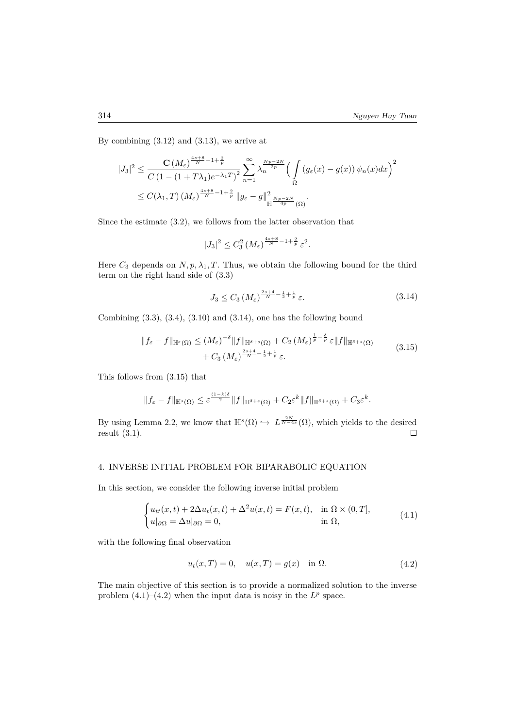By combining (3.12) and (3.13), we arrive at

$$
|J_3|^2 \leq \frac{\mathbf{C}\left(M_{\varepsilon}\right)^{\frac{4s+8}{N}-1+\frac{2}{p}}}{C\left(1-(1+T\lambda_1)e^{-\lambda_1T}\right)^2} \sum_{n=1}^{\infty} \lambda_n^{\frac{Np-2N}{2p}} \Big(\int_{\Omega} \left(g_{\varepsilon}(x) - g(x)\right)\psi_n(x)dx\Big)^2
$$
  

$$
\leq C(\lambda_1,T)\left(M_{\varepsilon}\right)^{\frac{4s+8}{N}-1+\frac{2}{p}} \|g_{\varepsilon} - g\|_{\mathbb{H}^{\frac{Np-2N}{4p}}(\Omega)}^2.
$$

Since the estimate (3.2), we follows from the latter observation that

$$
|J_3|^2 \leq C_3^2 \left(M_\varepsilon\right)^{\frac{4s+8}{N} - 1 + \frac{2}{p}} \varepsilon^2.
$$

Here  $C_3$  depends on  $N, p, \lambda_1, T$ . Thus, we obtain the following bound for the third term on the right hand side of (3.3)

$$
J_3 \le C_3 \left( M_\varepsilon \right)^{\frac{2s+4}{N} - \frac{1}{2} + \frac{1}{p}} \varepsilon. \tag{3.14}
$$

Combining  $(3.3)$ ,  $(3.4)$ ,  $(3.10)$  and  $(3.14)$ , one has the following bound

$$
||f_{\varepsilon} - f||_{\mathbb{H}^{s}(\Omega)} \leq (M_{\varepsilon})^{-\delta} ||f||_{\mathbb{H}^{\delta+s}(\Omega)} + C_2 (M_{\varepsilon})^{\frac{1}{p} - \frac{\delta}{p}} \varepsilon ||f||_{\mathbb{H}^{\delta+s}(\Omega)}
$$
  
+  $C_3 (M_{\varepsilon})^{\frac{2s+4}{N} - \frac{1}{2} + \frac{1}{p}} \varepsilon.$  (3.15)

This follows from (3.15) that

$$
||f_{\varepsilon}-f||_{\mathbb{H}^{s}(\Omega)} \leq \varepsilon^{\frac{(1-k)\delta}{\gamma}}||f||_{\mathbb{H}^{\delta+s}(\Omega)} + C_2\varepsilon^k||f||_{\mathbb{H}^{\delta+s}(\Omega)} + C_3\varepsilon^k.
$$

By using Lemma 2.2, we know that  $\mathbb{H}^s(\Omega) \hookrightarrow L^{\frac{2N}{N-4s}}(\Omega)$ , which yields to the desired result (3.1).  $\Box$ 

## 4. INVERSE INITIAL PROBLEM FOR BIPARABOLIC EQUATION

In this section, we consider the following inverse initial problem

$$
\begin{cases} u_{tt}(x,t) + 2\Delta u_t(x,t) + \Delta^2 u(x,t) = F(x,t), & \text{in } \Omega \times (0,T], \\ u|_{\partial\Omega} = \Delta u|_{\partial\Omega} = 0, & \text{in } \Omega, \end{cases}
$$
(4.1)

with the following final observation

$$
u_t(x,T) = 0, \quad u(x,T) = g(x) \quad \text{in } \Omega.
$$
 (4.2)

The main objective of this section is to provide a normalized solution to the inverse problem  $(4.1)$ – $(4.2)$  when the input data is noisy in the  $L^p$  space.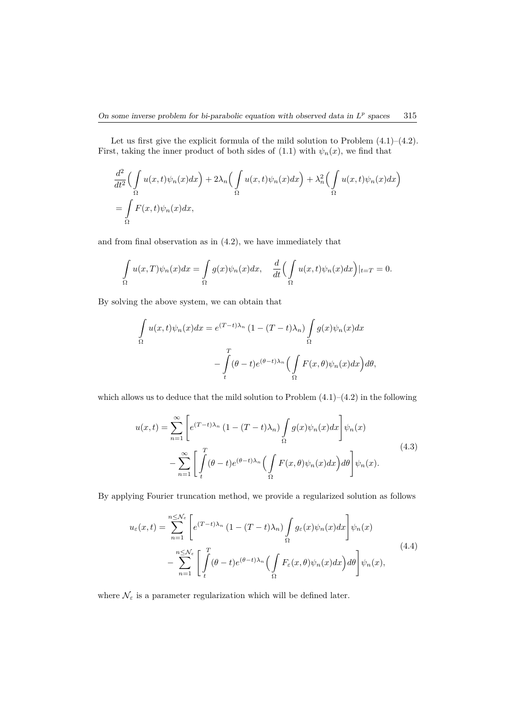Let us first give the explicit formula of the mild solution to Problem (4.1)–(4.2). First, taking the inner product of both sides of  $(1.1)$  with  $\psi_n(x)$ , we find that

$$
\frac{d^2}{dt^2} \Big( \int_{\Omega} u(x,t) \psi_n(x) dx \Big) + 2\lambda_n \Big( \int_{\Omega} u(x,t) \psi_n(x) dx \Big) + \lambda_n^2 \Big( \int_{\Omega} u(x,t) \psi_n(x) dx \Big)
$$

$$
= \int_{\Omega} F(x,t) \psi_n(x) dx,
$$

and from final observation as in (4.2), we have immediately that

$$
\int_{\Omega} u(x,T)\psi_n(x)dx = \int_{\Omega} g(x)\psi_n(x)dx, \quad \frac{d}{dt}\Big(\int_{\Omega} u(x,t)\psi_n(x)dx\Big)|_{t=T} = 0.
$$

By solving the above system, we can obtain that

$$
\int_{\Omega} u(x,t)\psi_n(x)dx = e^{(T-t)\lambda_n} (1 - (T-t)\lambda_n) \int_{\Omega} g(x)\psi_n(x)dx
$$

$$
- \int_{t}^{T} (\theta - t)e^{(\theta - t)\lambda_n} \Big(\int_{\Omega} F(x,\theta)\psi_n(x)dx\Big)d\theta,
$$

which allows us to deduce that the mild solution to Problem  $(4.1)$ – $(4.2)$  in the following

$$
u(x,t) = \sum_{n=1}^{\infty} \left[ e^{(T-t)\lambda_n} \left( 1 - (T-t)\lambda_n \right) \int_{\Omega} g(x) \psi_n(x) dx \right] \psi_n(x)
$$

$$
- \sum_{n=1}^{\infty} \left[ \int_t^T (\theta - t) e^{(\theta - t)\lambda_n} \left( \int_{\Omega} F(x,\theta) \psi_n(x) dx \right) d\theta \right] \psi_n(x).
$$
(4.3)

By applying Fourier truncation method, we provide a regularized solution as follows

$$
u_{\varepsilon}(x,t) = \sum_{n=1}^{n \leq \mathcal{N}_{\varepsilon}} \left[ e^{(T-t)\lambda_n} \left( 1 - (T-t)\lambda_n \right) \int_{\Omega} g_{\varepsilon}(x) \psi_n(x) dx \right] \psi_n(x)
$$

$$
- \sum_{n=1}^{n \leq \mathcal{N}_{\varepsilon}} \left[ \int_{t}^{T} (\theta - t) e^{(\theta - t)\lambda_n} \left( \int_{\Omega} F_{\varepsilon}(x,\theta) \psi_n(x) dx \right) d\theta \right] \psi_n(x), \tag{4.4}
$$

where  $\mathcal{N}_{\varepsilon}$  is a parameter regularization which will be defined later.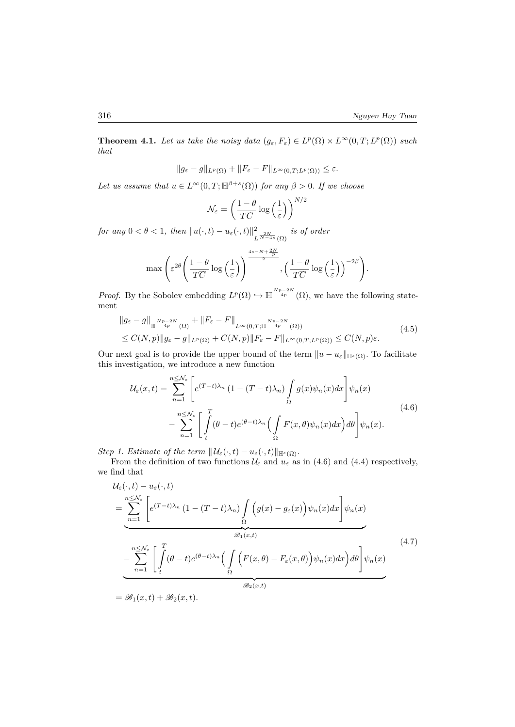**Theorem 4.1.** *Let us take the noisy data*  $(g_{\varepsilon}, F_{\varepsilon}) \in L^p(\Omega) \times L^{\infty}(0, T; L^p(\Omega))$  *such that*

$$
||g_{\varepsilon}-g||_{L^{p}(\Omega)}+||F_{\varepsilon}-F||_{L^{\infty}(0,T;L^{p}(\Omega))}\leq\varepsilon.
$$

*Let us assume that*  $u \in L^{\infty}(0,T;\mathbb{H}^{\beta+s}(\Omega))$  *for any*  $\beta > 0$ *. If we choose* 

$$
\mathcal{N}_{\varepsilon} = \left(\frac{1-\theta}{T\overline{C}}\log\left(\frac{1}{\varepsilon}\right)\right)^{N/2}
$$

*for any*  $0 < \theta < 1$ *, then*  $||u(\cdot, t) - u_{\varepsilon}(\cdot, t)||_1^2$  $\frac{2}{L^{\frac{2N}{N-4s}}(\Omega)}$  *is of order* 

$$
\max\left(\varepsilon^{2\theta}\left(\frac{1-\theta}{T\overline{C}}\log\left(\frac{1}{\varepsilon}\right)\right)^{\frac{4s-N+\frac{2N}{p}}{2}}, \left(\frac{1-\theta}{T\overline{C}}\log\left(\frac{1}{\varepsilon}\right)\right)^{-2\beta}\right).
$$

*Proof.* By the Sobolev embedding  $L^p(\Omega) \hookrightarrow \mathbb{H}^{\frac{Np-2N}{4p}}(\Omega)$ , we have the following statement

$$
\|g_{\varepsilon} - g\|_{\mathbb{H}^{\frac{Np-2N}{4p}}(\Omega)} + \|F_{\varepsilon} - F\|_{L^{\infty}(0,T;\mathbb{H}^{\frac{Np-2N}{4p}}(\Omega))}
$$
\n
$$
\leq C(N,p) \|g_{\varepsilon} - g\|_{L^p(\Omega)} + C(N,p) \|F_{\varepsilon} - F\|_{L^{\infty}(0,T;L^p(\Omega))} \leq C(N,p)\varepsilon.
$$
\n(4.5)

Our next goal is to provide the upper bound of the term  $||u - u_{\varepsilon}||_{\mathbb{H}^{s}(\Omega)}$ . To facilitate this investigation, we introduce a new function

$$
\mathcal{U}_{\varepsilon}(x,t) = \sum_{n=1}^{n \leq \mathcal{N}_{\varepsilon}} \left[ e^{(T-t)\lambda_n} \left( 1 - (T-t)\lambda_n \right) \int_{\Omega} g(x) \psi_n(x) dx \right] \psi_n(x)
$$

$$
- \sum_{n=1}^{n \leq \mathcal{N}_{\varepsilon}} \left[ \int_{t}^{T} (\theta - t) e^{(\theta - t)\lambda_n} \left( \int_{\Omega} F(x,\theta) \psi_n(x) dx \right) d\theta \right] \psi_n(x).
$$
\n(4.6)

*Step 1. Estimate of the term*  $||\mathcal{U}_{\varepsilon}(\cdot,t) - u_{\varepsilon}(\cdot,t)||_{\mathbb{H}^{s}(\Omega)}$ .

From the definition of two functions  $\mathcal{U}_{\varepsilon}$  and  $u_{\varepsilon}$  as in (4.6) and (4.4) respectively, we find that

$$
\mathcal{U}_{\varepsilon}(\cdot,t) - u_{\varepsilon}(\cdot,t)
$$
\n
$$
= \sum_{n=1}^{n \leq \mathcal{N}_{\varepsilon}} \left[ e^{(T-t)\lambda_n} \left( 1 - (T-t)\lambda_n \right) \int_{\Omega} \left( g(x) - g_{\varepsilon}(x) \right) \psi_n(x) dx \right] \psi_n(x)
$$
\n
$$
= \sum_{n=1}^{n \leq \mathcal{N}_{\varepsilon}} \left[ \int_{t}^{T} (\theta - t) e^{(\theta - t)\lambda_n} \left( \int_{\Omega} \left( F(x,\theta) - F_{\varepsilon}(x,\theta) \right) \psi_n(x) dx \right) d\theta \right] \psi_n(x)
$$
\n
$$
= \mathcal{B}_1(x,t) + \mathcal{B}_2(x,t).
$$
\n(4.7)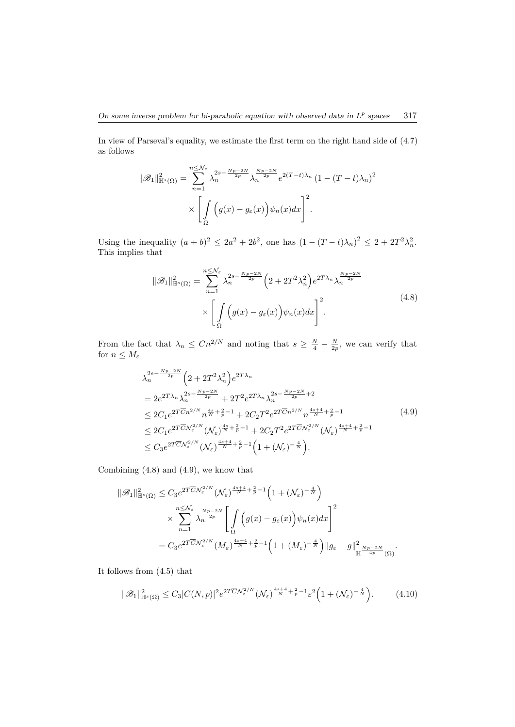In view of Parseval's equality, we estimate the first term on the right hand side of (4.7) as follows

$$
\|\mathcal{B}_1\|_{\mathbb{H}^s(\Omega)}^2 = \sum_{n=1}^{n \leq N_\varepsilon} \lambda_n^{2s - \frac{Np - 2N}{2p}} \lambda_n^{\frac{Np - 2N}{2p}} e^{2(T - t)\lambda_n} \left(1 - (T - t)\lambda_n\right)^2
$$

$$
\times \left[\int_{\Omega} \left(g(x) - g_\varepsilon(x)\right) \psi_n(x) dx\right]^2.
$$

Using the inequality  $(a + b)^2 \le 2a^2 + 2b^2$ , one has  $(1 - (T - t)\lambda_n)^2 \le 2 + 2T^2\lambda_n^2$ . This implies that

$$
\|\mathcal{B}_1\|_{\mathbb{H}^s(\Omega)}^2 = \sum_{n=1}^{n \leq N_{\varepsilon}} \lambda_n^{2s - \frac{Np - 2N}{2p}} \left(2 + 2T^2 \lambda_n^2\right) e^{2T\lambda_n} \lambda_n^{\frac{Np - 2N}{2p}} \times \left[\int_{\Omega} \left(g(x) - g_{\varepsilon}(x)\right) \psi_n(x) dx\right]^2.
$$
\n(4.8)

From the fact that  $\lambda_n \leq \overline{C}n^{2/N}$  and noting that  $s \geq \frac{N}{4} - \frac{N}{2p}$ , we can verify that for  $n \leq M_{\varepsilon}$ 

$$
\lambda_n^{2s - \frac{Np - 2N}{2p}} \left( 2 + 2T^2 \lambda_n^2 \right) e^{2T\lambda_n}
$$
\n
$$
= 2e^{2T\lambda_n} \lambda_n^{2s - \frac{Np - 2N}{2p}} + 2T^2 e^{2T\lambda_n} \lambda_n^{2s - \frac{Np - 2N}{2p} + 2}
$$
\n
$$
\leq 2C_1 e^{2T\overline{C}n^{2/N}} n^{\frac{4s}{N} + \frac{2}{p} - 1} + 2C_2 T^2 e^{2T\overline{C}n^{2/N}} n^{\frac{4s + 4}{N} + \frac{2}{p} - 1}
$$
\n
$$
\leq 2C_1 e^{2T\overline{C}N_{\varepsilon}^{2/N}} (\mathcal{N}_{\varepsilon})^{\frac{4s}{N} + \frac{2}{p} - 1} + 2C_2 T^2 e^{2T\overline{C}N_{\varepsilon}^{2/N}} (\mathcal{N}_{\varepsilon})^{\frac{4s + 4}{N} + \frac{2}{p} - 1}
$$
\n
$$
\leq C_3 e^{2T\overline{C}N_{\varepsilon}^{2/N}} (\mathcal{N}_{\varepsilon})^{\frac{4s + 4}{N} + \frac{2}{p} - 1} \left( 1 + (\mathcal{N}_{\varepsilon})^{-\frac{4}{N}} \right).
$$
\n(4.9)

Combining (4.8) and (4.9), we know that

$$
\begin{split} \|\mathscr{B}_{1}\|_{\mathbb{H}^{s}(\Omega)}^{2} &\leq C_{3}e^{2T\overline{C} \mathcal{N}_{\varepsilon}^{2/N}}(\mathcal{N}_{\varepsilon})^{\frac{4s+4}{N}+\frac{2}{p}-1}\left(1+(\mathcal{N}_{\varepsilon})^{-\frac{4}{N}}\right) \\ &\times \sum_{n=1}^{n\leq \mathcal{N}_{\varepsilon}}\lambda_{n}^{\frac{Np-2N}{2p}}\left[\int\limits_{\Omega}\Big(g(x)-g_{\varepsilon}(x)\Big)\psi_{n}(x)dx\right]^{2} \\ &=C_{3}e^{2T\overline{C} \mathcal{N}_{\varepsilon}^{2/N}}(M_{\varepsilon})^{\frac{4s+4}{N}+\frac{2}{p}-1}\Big(1+(M_{\varepsilon})^{-\frac{4}{N}}\Big)\|g_{\varepsilon}-g\|_{\mathbb{H}}^{2}\frac{Np-2N}{4p}(\Omega). \end{split}
$$

It follows from (4.5) that

$$
\|\mathcal{B}_1\|_{\mathbb{H}^s(\Omega)}^2 \le C_3 |C(N,p)|^2 e^{2T \overline{C} \mathcal{N}_{\varepsilon}^{2/N}} (\mathcal{N}_{\varepsilon})^{\frac{4s+4}{N} + \frac{2}{p} - 1} \varepsilon^2 \Big( 1 + (\mathcal{N}_{\varepsilon})^{-\frac{4}{N}} \Big). \tag{4.10}
$$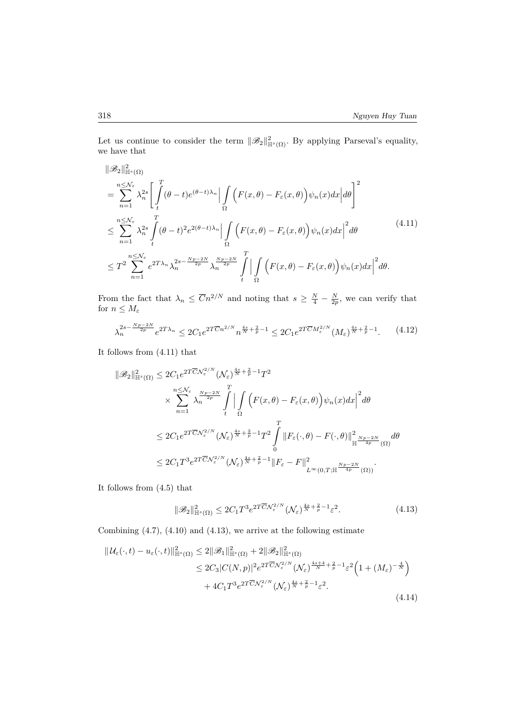Let us continue to consider the term  $||\mathscr{B}_2||_{\mathbb{H}^s(\Omega)}^2$ . By applying Parseval's equality, we have that

$$
\|\mathscr{B}_{2}\|_{\mathbb{H}^{s}(\Omega)}^{2}
$$
\n
$$
= \sum_{n=1}^{n \leq \mathcal{N}_{\varepsilon}} \lambda_{n}^{2s} \left[ \int_{t}^{T} (\theta - t) e^{(\theta - t)\lambda_{n}} \Big| \int_{\Omega} \left( F(x, \theta) - F_{\varepsilon}(x, \theta) \right) \psi_{n}(x) dx \Big| d\theta \right]^{2}
$$
\n
$$
\leq \sum_{n=1}^{n \leq \mathcal{N}_{\varepsilon}} \lambda_{n}^{2s} \int_{t}^{T} (\theta - t)^{2} e^{2(\theta - t)\lambda_{n}} \Big| \int_{\Omega} \left( F(x, \theta) - F_{\varepsilon}(x, \theta) \right) \psi_{n}(x) dx \Big|^{2} d\theta \qquad (4.11)
$$
\n
$$
\leq T^{2} \sum_{n=1}^{n \leq \mathcal{N}_{\varepsilon}} e^{2T\lambda_{n}} \lambda_{n}^{2s - \frac{Np - 2N}{2p}} \lambda_{n}^{\frac{Np - 2N}{2p}} \int_{t}^{T} \Big| \int_{\Omega} \left( F(x, \theta) - F_{\varepsilon}(x, \theta) \right) \psi_{n}(x) dx \Big|^{2} d\theta. \qquad (4.12)
$$

From the fact that  $\lambda_n \leq \overline{C}n^{2/N}$  and noting that  $s \geq \frac{N}{4} - \frac{N}{2p}$ , we can verify that for  $n \leq M_{\varepsilon}$ 

$$
\lambda_n^{2s - \frac{Np - 2N}{2p}} e^{2T\lambda_n} \le 2C_1 e^{2T\overline{C}n^{2/N}} n^{\frac{4s}{N} + \frac{2}{p} - 1} \le 2C_1 e^{2T\overline{C}M_{\varepsilon}^{2/N}} (M_{\varepsilon})^{\frac{4s}{N} + \frac{2}{p} - 1}.
$$
 (4.12)

It follows from (4.11) that

$$
\|\mathcal{B}_{2}\|_{\mathbb{H}^{s}(\Omega)}^{2} \leq 2C_{1}e^{2T\overline{C} \mathcal{N}_{\varepsilon}^{2/N}}(\mathcal{N}_{\varepsilon})^{\frac{4s}{N}+\frac{2}{p}-1}T^{2}
$$
  

$$
\times \sum_{n=1}^{n \leq \mathcal{N}_{\varepsilon}} \lambda_{n}^{\frac{N_{p}-2N}{2p}} \int_{t}^{T} \Big| \int_{\Omega} \Big(F(x,\theta)-F_{\varepsilon}(x,\theta)\Big)\psi_{n}(x)dx \Big|^{2} d\theta
$$
  

$$
\leq 2C_{1}e^{2T\overline{C} \mathcal{N}_{\varepsilon}^{2/N}}(\mathcal{N}_{\varepsilon})^{\frac{4s}{N}+\frac{2}{p}-1}T^{2} \int_{0}^{T} \|F_{\varepsilon}(\cdot,\theta)-F(\cdot,\theta)\|_{\mathbb{H}}^{2} \frac{N_{p}-2N}{4p}(\Omega) d\theta
$$
  

$$
\leq 2C_{1}T^{3}e^{2T\overline{C} \mathcal{N}_{\varepsilon}^{2/N}}(\mathcal{N}_{\varepsilon})^{\frac{4s}{N}+\frac{2}{p}-1} \|F_{\varepsilon}-F\|^{2}_{L^{\infty}(0,T;\mathbb{H}^{\frac{N_{p}-2N}{4p}}(\Omega))}.
$$

It follows from (4.5) that

$$
\|\mathcal{B}_2\|_{\mathbb{H}^s(\Omega)}^2 \le 2C_1 T^3 e^{2T\overline{C}\mathcal{N}_{\varepsilon}^{2/N}} (\mathcal{N}_{\varepsilon})^{\frac{4s}{N} + \frac{2}{p} - 1} \varepsilon^2.
$$
 (4.13)

Combining  $(4.7)$ ,  $(4.10)$  and  $(4.13)$ , we arrive at the following estimate

$$
\|U_{\varepsilon}(\cdot,t) - u_{\varepsilon}(\cdot,t)\|_{\mathbb{H}^{s}(\Omega)}^{2} \leq 2\|\mathscr{B}_{1}\|_{\mathbb{H}^{s}(\Omega)}^{2} + 2\|\mathscr{B}_{2}\|_{\mathbb{H}^{s}(\Omega)}^{2}
$$
  
\n
$$
\leq 2C_{3}|C(N,p)|^{2}e^{2T\overline{C}N_{\varepsilon}^{2/N}}(\mathcal{N}_{\varepsilon})^{\frac{4s+4}{N} + \frac{2}{p}-1}\varepsilon^{2}\left(1 + (M_{\varepsilon})^{-\frac{4}{N}}\right)
$$
  
\n
$$
+ 4C_{1}T^{3}e^{2T\overline{C}N_{\varepsilon}^{2/N}}(\mathcal{N}_{\varepsilon})^{\frac{4s}{N} + \frac{2}{p}-1}\varepsilon^{2}.
$$
\n(4.14)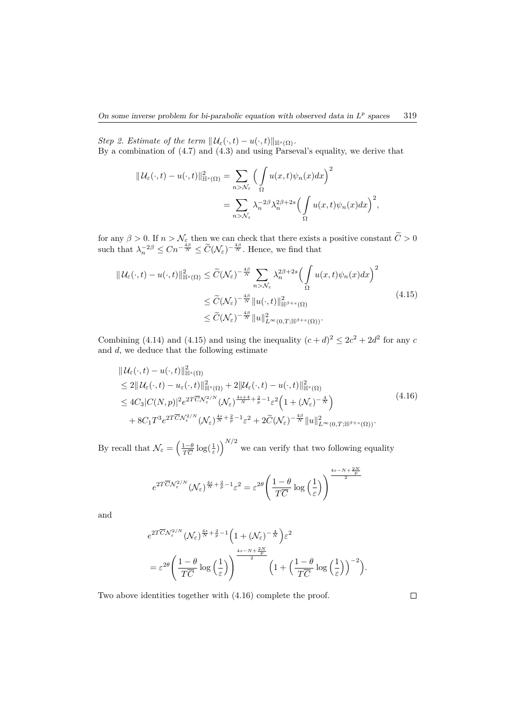*Step 2. Estimate of the term*  $||\mathcal{U}_{\varepsilon}(\cdot,t) - u(\cdot,t)||_{\mathbb{H}^{s}(\Omega)}$ . By a combination of  $(4.7)$  and  $(4.3)$  and using Parseval's equality, we derive that

$$
\begin{split} \|\mathcal{U}_{\varepsilon}(\cdot,t)-u(\cdot,t)\|_{\mathbb{H}^{s}(\Omega)}^{2}&=\sum_{n>\mathcal{N}_{\varepsilon}}\Big(\int\limits_{\Omega}u(x,t)\psi_{n}(x)dx\Big)^{2}\\ &=\sum_{n>\mathcal{N}_{\varepsilon}}\lambda_{n}^{-2\beta}\lambda_{n}^{2\beta+2s}\Big(\int\limits_{\Omega}u(x,t)\psi_{n}(x)dx\Big)^{2}, \end{split}
$$

for any  $\beta > 0$ . If  $n > N_{\epsilon}$  then we can check that there exists a positive constant  $C > 0$ such that  $\lambda_n^{-2\beta} \leq Cn^{-\frac{4\beta}{N}} \leq \widetilde{C}(\mathcal{N}_{\varepsilon})^{-\frac{4\beta}{N}}$ . Hence, we find that

$$
\|U_{\varepsilon}(\cdot,t) - u(\cdot,t)\|_{\mathbb{H}^{s}(\Omega)}^2 \leq \widetilde{C}(\mathcal{N}_{\varepsilon})^{-\frac{4\beta}{N}} \sum_{n > N_{\varepsilon}} \lambda_n^{2\beta + 2s} \Big(\int_{\Omega} u(x,t)\psi_n(x)dx\Big)^2
$$
  

$$
\leq \widetilde{C}(\mathcal{N}_{\varepsilon})^{-\frac{4\beta}{N}} \|u(\cdot,t)\|_{\mathbb{H}^{\beta+s}(\Omega)}^2
$$
  

$$
\leq \widetilde{C}(\mathcal{N}_{\varepsilon})^{-\frac{4\beta}{N}} \|u\|_{L^{\infty}(0,T;\mathbb{H}^{\beta+s}(\Omega))}^2.
$$
\n(4.15)

Combining (4.14) and (4.15) and using the inequality  $(c+d)^2 \leq 2c^2 + 2d^2$  for any *c* and *d*, we deduce that the following estimate

$$
\|U_{\varepsilon}(\cdot,t) - u(\cdot,t)\|_{\mathbb{H}^{s}(\Omega)}^2 \n\leq 2\|U_{\varepsilon}(\cdot,t) - u_{\varepsilon}(\cdot,t)\|_{\mathbb{H}^{s}(\Omega)}^2 + 2\|U_{\varepsilon}(\cdot,t) - u(\cdot,t)\|_{\mathbb{H}^{s}(\Omega)}^2 \n\leq 4C_3|C(N,p)|^2e^{2T\overline{C}N_{\varepsilon}^{2/N}}(\mathcal{N}_{\varepsilon})^{\frac{4s+4}{N} + \frac{2}{p}-1}\varepsilon^2\left(1+(\mathcal{N}_{\varepsilon})^{-\frac{4}{N}}\right) \n+8C_1T^3e^{2T\overline{C}N_{\varepsilon}^{2/N}}(\mathcal{N}_{\varepsilon})^{\frac{4s}{N} + \frac{2}{p}-1}\varepsilon^2 + 2\widetilde{C}(\mathcal{N}_{\varepsilon})^{-\frac{4\beta}{N}}\|u\|_{L^{\infty}(0,T;\mathbb{H}^{\beta+s}(\Omega))}^2.
$$
\n(4.16)

By recall that  $\mathcal{N}_{\varepsilon} = \left(\frac{1-\theta}{T\overline{C}}\log(\frac{1}{\varepsilon})\right)^{N/2}$  we can verify that two following equality

$$
e^{2T\overline{C}{\cal N}_\varepsilon^{2/N}}({\cal N}_\varepsilon)^{\frac{4s}{N}+\frac{2}{p}-1}\varepsilon^2=\varepsilon^{2\theta}\Biggl(\frac{1-\theta}{T\overline{C}}\log\Bigl(\frac{1}{\varepsilon}\Bigr)\Biggr)^{\frac{4s-N+\frac{2N}{p}}{2}}
$$

and

$$
\begin{split} &e^{2T\overline{C}{\cal N}^{2/N}_\varepsilon}({\cal N}_\varepsilon)^{\frac{4s}{N}+\frac{2}{p}-1}\Big(1+({\cal N}_\varepsilon)^{-\frac{4}{N}}\Big)\varepsilon^2\\ &=\varepsilon^{2\theta}\Bigg(\frac{1-\theta}{T\overline{C}}\log\Big(\frac{1}{\varepsilon}\Big)\Bigg)^{\frac{4s-N+\frac{2N}{p}}{2}}\Big(1+\Big(\frac{1-\theta}{T\overline{C}}\log\Big(\frac{1}{\varepsilon}\Big)\Big)^{-2}\Big). \end{split}
$$

Two above identities together with (4.16) complete the proof.

 $\Box$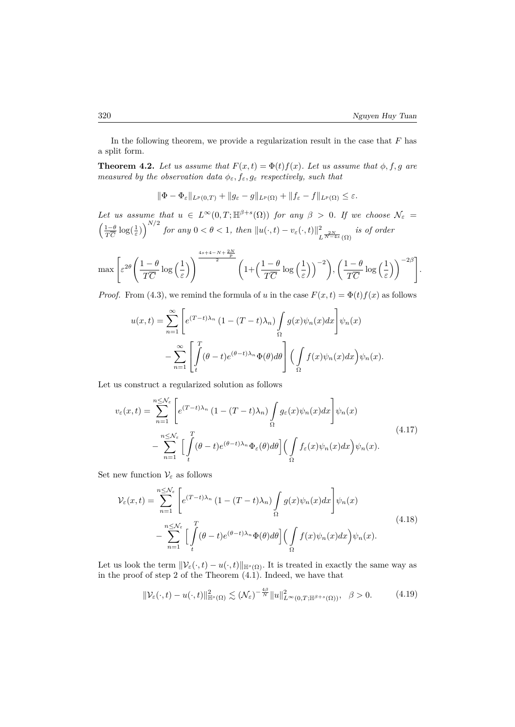In the following theorem, we provide a regularization result in the case that  $F$  has a split form.

**Theorem 4.2.** Let us assume that  $F(x,t) = \Phi(t)f(x)$ . Let us assume that  $\phi, f, g$  are *measured by the observation data*  $\phi_{\varepsilon}$ ,  $f_{\varepsilon}$ ,  $g_{\varepsilon}$  *respectively, such that* 

$$
\|\Phi-\Phi_{\varepsilon}\|_{L^p(0,T)}+\|g_{\varepsilon}-g\|_{L^p(\Omega)}+\|f_{\varepsilon}-f\|_{L^p(\Omega)}\leq\varepsilon.
$$

*Let us assume that*  $u \in L^{\infty}(0,T;\mathbb{H}^{\beta+s}(\Omega))$  *for any*  $\beta > 0$ *. If we choose*  $\mathcal{N}_{\varepsilon}$  $\left(\frac{1-\theta}{T\overline{C}}\log(\frac{1}{\varepsilon})\right)^{N/2}$  for any  $0 < \theta < 1$ , then  $||u(\cdot, t) - v_{\varepsilon}(\cdot, t)||_1^2$  $\frac{2}{L^{\frac{2N}{N-4s}}(\Omega)}$  *is of order* 

$$
\max \left[ \varepsilon^{2\theta} \left( \frac{1-\theta}{T\overline{C}} \log\left(\frac{1}{\varepsilon}\right) \right)^{\frac{4s+4-N+\frac{2N}{p}}{2}} \left( 1 + \left( \frac{1-\theta}{T\overline{C}} \log\left(\frac{1}{\varepsilon}\right) \right)^{-2} \right), \left( \frac{1-\theta}{T\overline{C}} \log\left(\frac{1}{\varepsilon}\right) \right)^{-2\beta} \right].
$$

*Proof.* From (4.3), we remind the formula of *u* in the case  $F(x,t) = \Phi(t)f(x)$  as follows

$$
u(x,t) = \sum_{n=1}^{\infty} \left[ e^{(T-t)\lambda_n} \left( 1 - (T-t)\lambda_n \right) \int_{\Omega} g(x) \psi_n(x) dx \right] \psi_n(x)
$$

$$
- \sum_{n=1}^{\infty} \left[ \int_{t}^{T} (\theta - t) e^{(\theta - t)\lambda_n} \Phi(\theta) d\theta \right] \left( \int_{\Omega} f(x) \psi_n(x) dx \right) \psi_n(x).
$$

Let us construct a regularized solution as follows

$$
v_{\varepsilon}(x,t) = \sum_{n=1}^{n \leq N_{\varepsilon}} \left[ e^{(T-t)\lambda_n} \left( 1 - (T-t)\lambda_n \right) \int_{\Omega} g_{\varepsilon}(x) \psi_n(x) dx \right] \psi_n(x)
$$
  

$$
- \sum_{n=1}^{n \leq N_{\varepsilon}} \left[ \int_t^T (\theta - t) e^{(\theta - t)\lambda_n} \Phi_{\varepsilon}(\theta) d\theta \right] \left( \int_{\Omega} f_{\varepsilon}(x) \psi_n(x) dx \right) \psi_n(x).
$$
 (4.17)

Set new function  $V_{\varepsilon}$  as follows

$$
\mathcal{V}_{\varepsilon}(x,t) = \sum_{n=1}^{n \leq \mathcal{N}_{\varepsilon}} \left[ e^{(T-t)\lambda_n} \left( 1 - (T-t)\lambda_n \right) \int_{\Omega} g(x) \psi_n(x) dx \right] \psi_n(x)
$$
\n
$$
- \sum_{n=1}^{n \leq \mathcal{N}_{\varepsilon}} \left[ \int_{t}^{T} (\theta - t) e^{(\theta - t)\lambda_n} \Phi(\theta) d\theta \right] \left( \int_{\Omega} f(x) \psi_n(x) dx \right) \psi_n(x).
$$
\n(4.18)

Let us look the term  $\|\mathcal{V}_{\varepsilon}(\cdot,t) - u(\cdot,t)\|_{\mathbb{H}^{s}(\Omega)}$ . It is treated in exactly the same way as in the proof of step 2 of the Theorem  $(4.1)$ . Indeed, we have that

$$
\|\mathcal{V}_{\varepsilon}(\cdot,t) - u(\cdot,t)\|_{\mathbb{H}^s(\Omega)}^2 \lesssim (\mathcal{N}_{\varepsilon})^{-\frac{4\beta}{N}} \|u\|_{L^{\infty}(0,T;\mathbb{H}^{\beta+s}(\Omega))}^2, \quad \beta > 0.
$$
 (4.19)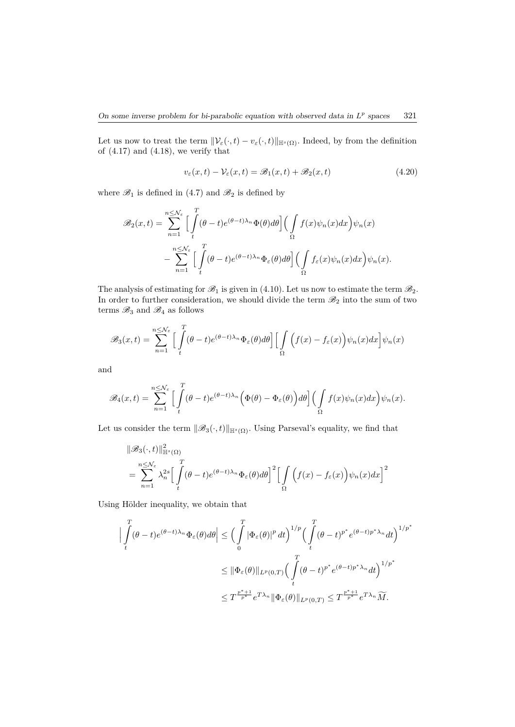Let us now to treat the term  $\|\mathcal{V}_{\varepsilon}(\cdot,t) - \mathcal{V}_{\varepsilon}(\cdot,t)\|_{\mathbb{H}^{s}(\Omega)}$ . Indeed, by from the definition of  $(4.17)$  and  $(4.18)$ , we verify that

$$
v_{\varepsilon}(x,t) - \mathcal{V}_{\varepsilon}(x,t) = \mathcal{B}_1(x,t) + \mathcal{B}_2(x,t)
$$
\n(4.20)

where  $\mathscr{B}_1$  is defined in (4.7) and  $\mathscr{B}_2$  is defined by

$$
\mathscr{B}_2(x,t) = \sum_{n=1}^{n \leq \mathcal{N}_{\varepsilon}} \Big[ \int_t^T (\theta - t) e^{(\theta - t)\lambda_n} \Phi(\theta) d\theta \Big] \Big( \int_{\Omega} f(x) \psi_n(x) dx \Big) \psi_n(x)
$$

$$
- \sum_{n=1}^{n \leq \mathcal{N}_{\varepsilon}} \Big[ \int_t^T (\theta - t) e^{(\theta - t)\lambda_n} \Phi_{\varepsilon}(\theta) d\theta \Big] \Big( \int_{\Omega} f_{\varepsilon}(x) \psi_n(x) dx \Big) \psi_n(x).
$$

The analysis of estimating for  $\mathcal{B}_1$  is given in (4.10). Let us now to estimate the term  $\mathcal{B}_2$ . In order to further consideration, we should divide the term  $\mathscr{B}_2$  into the sum of two terms  $\mathscr{B}_3$  and  $\mathscr{B}_4$  as follows

$$
\mathscr{B}_3(x,t) = \sum_{n=1}^{n \leq N_{\varepsilon}} \Big[ \int_t^T (\theta - t) e^{(\theta - t)\lambda_n} \Phi_{\varepsilon}(\theta) d\theta \Big] \Big[ \int_{\Omega} \Big( f(x) - f_{\varepsilon}(x) \Big) \psi_n(x) dx \Big] \psi_n(x)
$$

and

$$
\mathscr{B}_4(x,t) = \sum_{n=1}^{n \leq \mathcal{N}_{\varepsilon}} \Big[ \int_t^T (\theta - t) e^{(\theta - t)\lambda_n} \Big( \Phi(\theta) - \Phi_{\varepsilon}(\theta) \Big) d\theta \Big] \Big( \int_{\Omega} f(x) \psi_n(x) dx \Big) \psi_n(x).
$$

Let us consider the term  $||\mathscr{B}_3(\cdot,t)||_{\mathbb{H}^s(\Omega)}$ . Using Parseval's equality, we find that

$$
\|\mathscr{B}_{3}(\cdot,t)\|_{\mathbb{H}^{s}(\Omega)}^{2}
$$
  
= 
$$
\sum_{n=1}^{n \leq \mathcal{N}_{\varepsilon}} \lambda_{n}^{2s} \Big[ \int_{t}^{T} (\theta - t) e^{(\theta - t)\lambda_{n}} \Phi_{\varepsilon}(\theta) d\theta \Big]^{2} \Big[ \int_{\Omega} (f(x) - f_{\varepsilon}(x)) \psi_{n}(x) dx \Big]^{2}
$$

Using Hölder inequality, we obtain that

$$
\Big| \int_{t}^{T} (\theta - t) e^{(\theta - t)\lambda_{n}} \Phi_{\varepsilon}(\theta) d\theta \Big| \leq \Big( \int_{0}^{T} |\Phi_{\varepsilon}(\theta)|^{p} dt \Big)^{1/p} \Big( \int_{t}^{T} (\theta - t)^{p^{*}} e^{(\theta - t)p^{*}\lambda_{n}} dt \Big)^{1/p^{*}}
$$
  

$$
\leq \|\Phi_{\varepsilon}(\theta)\|_{L^{p}(0,T)} \Big( \int_{t}^{T} (\theta - t)^{p^{*}} e^{(\theta - t)p^{*}\lambda_{n}} dt \Big)^{1/p^{*}}
$$
  

$$
\leq T^{\frac{p^{*}+1}{p^{*}}} e^{T\lambda_{n}} \|\Phi_{\varepsilon}(\theta)\|_{L^{p}(0,T)} \leq T^{\frac{p^{*}+1}{p^{*}}} e^{T\lambda_{n}} \widetilde{M}.
$$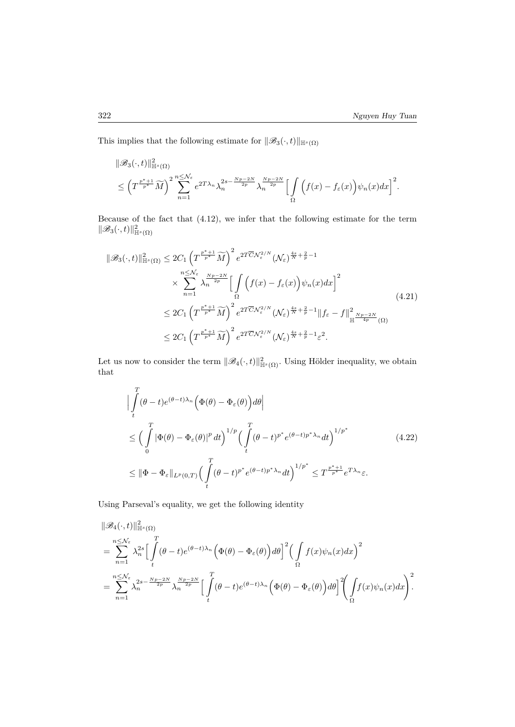This implies that the following estimate for  $||\mathscr{B}_3(\cdot,t)||_{\mathbb{H}^s(\Omega)}$ 

$$
\begin{split} &\|\mathscr B_3(\cdot,t)\|_{\mathbb H^s(\Omega)}^2\\ &\leq \left(T^{\frac{p^*+1}{p^*}}\widetilde M\right)^2\sum_{n=1}^{n\leq \mathcal N_\varepsilon}e^{2T\lambda_n}\lambda_n^{2s-\frac{Np-2N}{2p}}\lambda_n^{\frac{Np-2N}{2p}}\Big[\int\limits_\Omega\Big(f(x)-f_\varepsilon(x)\Big)\psi_n(x)dx\Big]^2. \end{split}
$$

Because of the fact that (4.12), we infer that the following estimate for the term  $\|\mathscr{B}_3(\cdot,t)\|_{\mathbb{H}^s(\Omega)}^2$ 

$$
\|\mathcal{B}_{3}(\cdot,t)\|_{\mathbb{H}^{s}(\Omega)}^{2} \leq 2C_{1} \left(T^{\frac{p^{*}+1}{p^{*}}} \widetilde{M}\right)^{2} e^{2T\overline{C} \mathcal{N}_{\varepsilon}^{2/N}} (\mathcal{N}_{\varepsilon})^{\frac{4s}{N}+\frac{2}{p}-1} \times \sum_{n=1}^{n \leq \mathcal{N}_{\varepsilon}} \lambda_{n}^{\frac{Np-2N}{2p}} \left[\int_{\Omega} \left(f(x) - f_{\varepsilon}(x)\right) \psi_{n}(x) dx\right]^{2} \leq 2C_{1} \left(T^{\frac{p^{*}+1}{p^{*}}} \widetilde{M}\right)^{2} e^{2T\overline{C} \mathcal{N}_{\varepsilon}^{2/N}} (\mathcal{N}_{\varepsilon})^{\frac{4s}{N}+\frac{2}{p}-1} \|f_{\varepsilon} - f\|_{\mathbb{H}}^{2} \frac{Np-2N}{4p} (\Omega) \leq 2C_{1} \left(T^{\frac{p^{*}+1}{p^{*}}} \widetilde{M}\right)^{2} e^{2T\overline{C} \mathcal{N}_{\varepsilon}^{2/N}} (\mathcal{N}_{\varepsilon})^{\frac{4s}{N}+\frac{2}{p}-1} \varepsilon^{2}.
$$
\n
$$
(4.21)
$$

Let us now to consider the term  $\|\mathscr{B}_4(\cdot,t)\|_{\mathbb{H}^s(\Omega)}^2$ . Using Hölder inequality, we obtain that

$$
\left| \int_{t}^{T} (\theta - t) e^{(\theta - t)\lambda_{n}} \left( \Phi(\theta) - \Phi_{\varepsilon}(\theta) \right) d\theta \right|
$$
\n
$$
\leq \left( \int_{0}^{T} \left| \Phi(\theta) - \Phi_{\varepsilon}(\theta) \right|^{p} dt \right)^{1/p} \left( \int_{t}^{T} (\theta - t)^{p^{*}} e^{(\theta - t)p^{*}\lambda_{n}} dt \right)^{1/p^{*}}
$$
\n
$$
\leq \|\Phi - \Phi_{\varepsilon}\|_{L^{p}(0,T)} \left( \int_{t}^{T} (\theta - t)^{p^{*}} e^{(\theta - t)p^{*}\lambda_{n}} dt \right)^{1/p^{*}} \leq T^{\frac{p^{*}+1}{p^{*}}} e^{T\lambda_{n}} \varepsilon.
$$
\n(4.22)

Using Parseval's equality, we get the following identity

$$
\begin{split}\n\|\mathcal{B}_{4}(\cdot,t)\|_{\mathbb{H}^{s}(\Omega)}^{2} \\
&= \sum_{n=1}^{n\leq \mathcal{N}_{\varepsilon}}\lambda_{n}^{2s}\Big[\int_{t}^{T}(\theta-t)e^{(\theta-t)\lambda_{n}}\Big(\Phi(\theta)-\Phi_{\varepsilon}(\theta)\Big)d\theta\Big]^{2}\Big(\int_{\Omega}f(x)\psi_{n}(x)dx\Big)^{2} \\
&= \sum_{n=1}^{n\leq \mathcal{N}_{\varepsilon}}\lambda_{n}^{2s-\frac{Np-2N}{2p}}\lambda_{n}^{\frac{Np-2N}{2p}}\Big[\int_{t}^{T}(\theta-t)e^{(\theta-t)\lambda_{n}}\Big(\Phi(\theta)-\Phi_{\varepsilon}(\theta)\Big)d\theta\Big]^{2}\Big(\int_{\Omega}f(x)\psi_{n}(x)dx\Big)^{2}.\n\end{split}
$$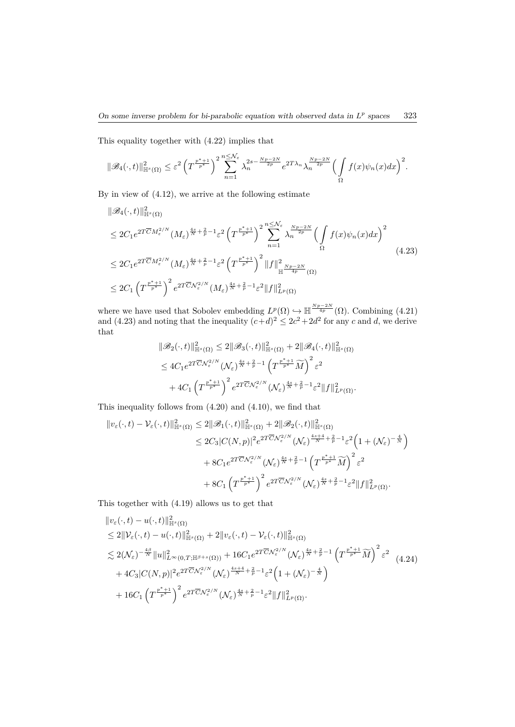This equality together with (4.22) implies that

$$
\|\mathscr{B}_4(\cdot,t)\|_{\mathbb{H}^s(\Omega)}^2 \leq \varepsilon^2 \left(T^{\frac{p^*+1}{p^*}}\right)^2 \sum_{n=1}^{n \leq \mathcal{N}_{\varepsilon}} \lambda_n^{2s - \frac{Np - 2N}{2p}} e^{2T\lambda_n} \lambda_n^{\frac{Np - 2N}{2p}} \Big(\int\limits_{\Omega} f(x) \psi_n(x) dx\Big)^2.
$$

By in view of (4.12), we arrive at the following estimate

$$
\|\mathcal{B}_{4}(\cdot,t)\|_{\mathbb{H}^{s}(\Omega)}^{2}
$$
\n
$$
\leq 2C_{1}e^{2T\overline{C}M_{\varepsilon}^{2/N}}(M_{\varepsilon})^{\frac{4s}{N}+\frac{2}{p}-1}\varepsilon^{2}\left(T^{\frac{p^{*}+1}{p^{*}}}\right)^{2}\sum_{n=1}^{n\leq \mathcal{N}_{\varepsilon}}\lambda_{n}^{\frac{Np-2N}{2p}}\left(\int_{\Omega}f(x)\psi_{n}(x)dx\right)^{2}
$$
\n
$$
\leq 2C_{1}e^{2T\overline{C}M_{\varepsilon}^{2/N}}(M_{\varepsilon})^{\frac{4s}{N}+\frac{2}{p}-1}\varepsilon^{2}\left(T^{\frac{p^{*}+1}{p^{*}}}\right)^{2}\|f\|_{\mathbb{H}}^{2}\frac{Np-2N}{4p}(\Omega)
$$
\n
$$
\leq 2C_{1}\left(T^{\frac{p^{*}+1}{p^{*}}}\right)^{2}e^{2T\overline{C}N_{\varepsilon}^{2/N}}(M_{\varepsilon})^{\frac{4s}{N}+\frac{2}{p}-1}\varepsilon^{2}\|f\|_{L^{p}(\Omega)}^{2}
$$
\n
$$
(4.23)
$$

where we have used that Sobolev embedding  $L^p(\Omega) \hookrightarrow \mathbb{H}^{\frac{Np-2N}{4p}}(\Omega)$ . Combining (4.21) and (4.23) and noting that the inequality  $(c+d)^2 \leq 2c^2 + 2d^2$  for any *c* and *d*, we derive that

$$
\begin{split} \|\mathscr{B}_{2}(\cdot,t)\|_{\mathbb{H}^{s}(\Omega)}^{2} &\leq 2\|\mathscr{B}_{3}(\cdot,t)\|_{\mathbb{H}^{s}(\Omega)}^{2}+2\|\mathscr{B}_{4}(\cdot,t)\|_{\mathbb{H}^{s}(\Omega)}^{2} \\ &\leq 4C_{1}e^{2T\overline{C}N_{\varepsilon}^{2/N}}(\mathcal{N}_{\varepsilon})^{\frac{4s}{N}+\frac{2}{p}-1}\left(T^{\frac{p^{*}+1}{p^{*}}} \widetilde{M}\right)^{2}\varepsilon^{2} \\ &+4C_{1}\left(T^{\frac{p^{*}+1}{p^{*}}}\right)^{2}e^{2T\overline{C}N_{\varepsilon}^{2/N}}(\mathcal{N}_{\varepsilon})^{\frac{4s}{N}+\frac{2}{p}-1}\varepsilon^{2}\|f\|_{L^{p}(\Omega)}^{2}.\end{split}
$$

This inequality follows from (4.20) and (4.10), we find that

$$
\|v_{\varepsilon}(\cdot,t)-\mathcal{V}_{\varepsilon}(\cdot,t)\|_{\mathbb{H}^{s}(\Omega)}^{2} \leq 2\|\mathscr{B}_{1}(\cdot,t)\|_{\mathbb{H}^{s}(\Omega)}^{2} + 2\|\mathscr{B}_{2}(\cdot,t)\|_{\mathbb{H}^{s}(\Omega)}^{2}
$$
  
\n
$$
\leq 2C_{3}|C(N,p)|^{2}e^{2T\overline{C}\mathcal{N}_{\varepsilon}^{2/N}}(\mathcal{N}_{\varepsilon})^{\frac{4s+4}{N} + \frac{2}{p} - 1}\varepsilon^{2}\left(1 + (\mathcal{N}_{\varepsilon})^{-\frac{4}{N}}\right)
$$
  
\n
$$
+ 8C_{1}e^{2T\overline{C}\mathcal{N}_{\varepsilon}^{2/N}}(\mathcal{N}_{\varepsilon})^{\frac{4s}{N} + \frac{2}{p} - 1}\left(T^{\frac{p^{*}+1}{p^{*}}} \widetilde{M}\right)^{2}\varepsilon^{2}
$$
  
\n
$$
+ 8C_{1}\left(T^{\frac{p^{*}+1}{p^{*}}}\right)^{2}e^{2T\overline{C}\mathcal{N}_{\varepsilon}^{2/N}}(\mathcal{N}_{\varepsilon})^{\frac{4s}{N} + \frac{2}{p} - 1}\varepsilon^{2}\|f\|_{L^{p}(\Omega)}^{2}.
$$

This together with (4.19) allows us to get that

$$
\|v_{\varepsilon}(\cdot,t) - u(\cdot,t)\|_{\mathbb{H}^{s}(\Omega)}^{2}
$$
\n
$$
\leq 2\|\mathcal{V}_{\varepsilon}(\cdot,t) - u(\cdot,t)\|_{\mathbb{H}^{s}(\Omega)}^{2} + 2\|v_{\varepsilon}(\cdot,t) - \mathcal{V}_{\varepsilon}(\cdot,t)\|_{\mathbb{H}^{s}(\Omega)}^{2}
$$
\n
$$
\lesssim 2(\mathcal{N}_{\varepsilon})^{-\frac{4\beta}{N}}\|u\|_{L^{\infty}(0,T;\mathbb{H}^{\beta+s}(\Omega))}^{2} + 16C_{1}e^{2T\overline{C}\mathcal{N}_{\varepsilon}^{2/N}}(\mathcal{N}_{\varepsilon})^{\frac{4s}{N} + \frac{2}{p} - 1}\left(T^{\frac{p^{*}+1}{p^{*}}} \widetilde{M}\right)^{2} \varepsilon^{2} + 4C_{3}|C(N,p)|^{2}e^{2T\overline{C}\mathcal{N}_{\varepsilon}^{2/N}}(\mathcal{N}_{\varepsilon})^{\frac{4s+4}{N} + \frac{2}{p} - 1}\varepsilon^{2}\left(1 + (\mathcal{N}_{\varepsilon})^{-\frac{4}{N}}\right)
$$
\n
$$
+ 16C_{1}\left(T^{\frac{p^{*}+1}{p^{*}}}\right)^{2}e^{2T\overline{C}\mathcal{N}_{\varepsilon}^{2/N}}(\mathcal{N}_{\varepsilon})^{\frac{4s}{N} + \frac{2}{p} - 1}\varepsilon^{2}\|f\|_{L^{p}(\Omega)}^{2}.
$$
\n(4.24)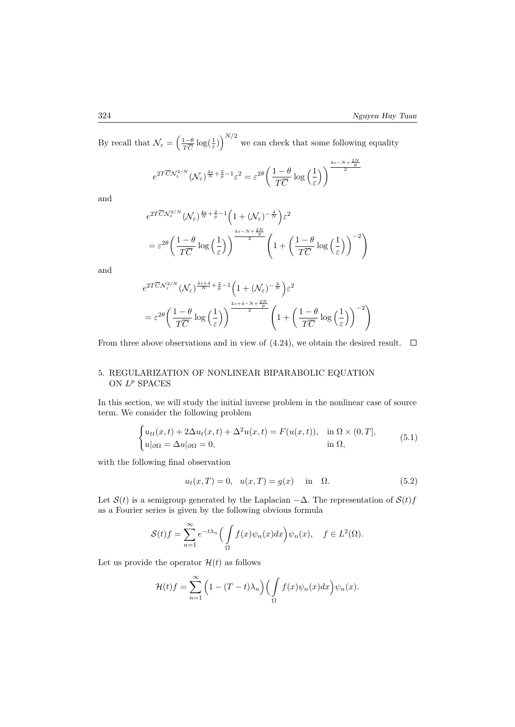By recall that  $\mathcal{N}_{\varepsilon} = \left(\frac{1-\theta}{T\overline{C}}\log(\frac{1}{\varepsilon})\right)^{N/2}$  we can check that some following equality

$$
e^{2T\overline{C}N_{\varepsilon}^{2/N}}(\mathcal{N}_{\varepsilon})^{\frac{4s}{N}+\frac{2}{p}-1}\varepsilon^{2}=\varepsilon^{2\theta}\left(\frac{1-\theta}{T\overline{C}}\log\left(\frac{1}{\varepsilon}\right)\right)^{\frac{4s-N+\frac{2N}{p}}{2}}
$$

and

$$
e^{2T\overline{C}N_{\varepsilon}^{2/N}}(\mathcal{N}_{\varepsilon})^{\frac{4s}{N}+\frac{2}{p}-1}\left(1+(\mathcal{N}_{\varepsilon})^{-\frac{4}{N}}\right)\varepsilon^{2}
$$

$$
=\varepsilon^{2\theta}\left(\frac{1-\theta}{T\overline{C}}\log\left(\frac{1}{\varepsilon}\right)\right)^{\frac{4s-N+\frac{2N}{p}}{2}}\left(1+\left(\frac{1-\theta}{T\overline{C}}\log\left(\frac{1}{\varepsilon}\right)\right)^{-2}\right)
$$

and

$$
\begin{split} &e^{2T\overline{C}{\cal N}^{2/N}_\varepsilon}\big({\cal N}_\varepsilon\big)^{\frac{4s+4}{N}+\frac{2}{p}-1}\Big(1+(\cal N_\varepsilon)^{-\frac{4}{N}}\Big)\varepsilon^2\\ &=\varepsilon^{2\theta}\bigg(\frac{1-\theta}{T\overline{C}}\log\Big(\frac{1}{\varepsilon}\Big)\bigg)^{\frac{4s+4-N+\frac{2N}{p}}{2}}\left(1+\bigg(\frac{1-\theta}{T\overline{C}}\log\Big(\frac{1}{\varepsilon}\Big)\right)^{-2}\right) \end{split}
$$

From three above observations and in view of  $(4.24)$ , we obtain the desired result.  $\Box$ 

# 5. REGULARIZATION OF NONLINEAR BIPARABOLIC EQUATION ON  $L^p$  SPACES

In this section, we will study the initial inverse problem in the nonlinear case of source term. We consider the following problem

$$
\begin{cases} u_{tt}(x,t) + 2\Delta u_t(x,t) + \Delta^2 u(x,t) = F(u(x,t)), & \text{in } \Omega \times (0,T],\\ u|_{\partial\Omega} = \Delta u|_{\partial\Omega} = 0, & \text{in } \Omega, \end{cases}
$$
(5.1)

with the following final observation

$$
u_t(x,T) = 0, \quad u(x,T) = g(x) \quad \text{in} \quad \Omega.
$$
 (5.2)

Let  $S(t)$  is a semigroup generated by the Laplacian  $-\Delta$ . The representation of  $S(t)f$ as a Fourier series is given by the following obvious formula

$$
\mathcal{S}(t)f = \sum_{n=1}^{\infty} e^{-t\lambda_n} \Big( \int_{\Omega} f(x)\psi_n(x)dx \Big) \psi_n(x), \quad f \in L^2(\Omega).
$$

Let us provide the operator  $\mathcal{H}(t)$  as follows

$$
\mathcal{H}(t)f = \sum_{n=1}^{\infty} \left(1 - (T - t)\lambda_n\right) \left(\int_{\Omega} f(x)\psi_n(x)dx\right)\psi_n(x).
$$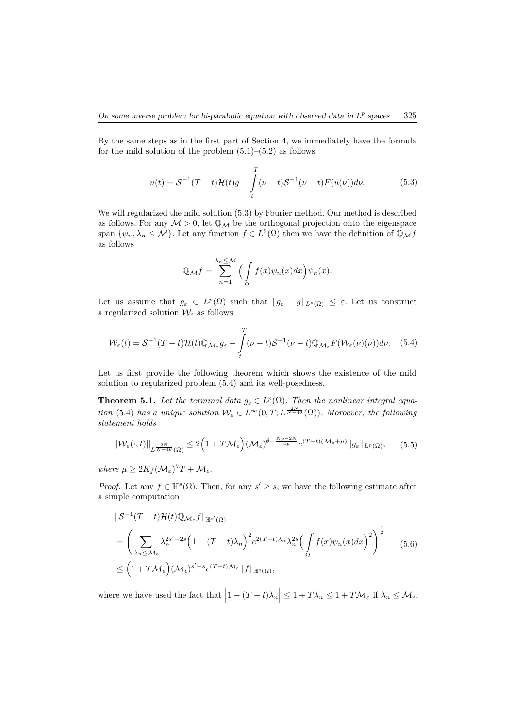By the same steps as in the first part of Section 4, we immediately have the formula for the mild solution of the problem  $(5.1)$ – $(5.2)$  as follows

$$
u(t) = S^{-1}(T-t)\mathcal{H}(t)g - \int_{t}^{T} (\nu - t)S^{-1}(\nu - t)F(u(\nu))d\nu.
$$
 (5.3)

We will regularized the mild solution (5.3) by Fourier method. Our method is described as follows. For any  $M > 0$ , let  $\mathbb{Q}_M$  be the orthogonal projection onto the eigenspace span  $\{\psi_n, \lambda_n \leq M\}$ . Let any function  $f \in L^2(\Omega)$  then we have the definition of  $\mathbb{Q}_M f$ as follows

$$
\mathbb{Q}_{\mathcal{M}}f = \sum_{n=1}^{\lambda_n \leq \mathcal{M}} \Big( \int_{\Omega} f(x) \psi_n(x) dx \Big) \psi_n(x).
$$

Let us assume that  $g_{\varepsilon} \in L^p(\Omega)$  such that  $||g_{\varepsilon} - g||_{L^p(\Omega)} \leq \varepsilon$ . Let us construct a regularized solution  $\mathcal{W}_{\varepsilon}$  as follows

$$
\mathcal{W}_{\varepsilon}(t) = \mathcal{S}^{-1}(T-t)\mathcal{H}(t)\mathbb{Q}_{\mathcal{M}_{\varepsilon}}g_{\varepsilon} - \int_{t}^{T} (\nu - t)\mathcal{S}^{-1}(\nu - t)\mathbb{Q}_{\mathcal{M}_{\varepsilon}}F(\mathcal{W}_{\varepsilon}(\nu)(\nu))d\nu. \quad (5.4)
$$

Let us first provide the following theorem which shows the existence of the mild solution to regularized problem (5.4) and its well-posedness.

**Theorem 5.1.** Let the terminal data  $g_{\varepsilon} \in L^p(\Omega)$ . Then the nonlinear integral equa*tion* (5.4) *has a unique solution*  $W_{\varepsilon} \in L^{\infty}(0,T; L^{\frac{2N}{N-4\theta}}(\Omega))$ *. Moroever, the following statement holds*

$$
\|\mathcal{W}_{\varepsilon}(\cdot,t)\|_{L^{\frac{2N}{N-4\theta}}(\Omega)} \leq 2\Big(1+T\mathcal{M}_{\varepsilon}\Big)(\mathcal{M}_{\varepsilon})^{\theta-\frac{Np-2N}{4p}}e^{(T-t)(\mathcal{M}_{\varepsilon}+\mu)}\|g_{\varepsilon}\|_{L^{p}(\Omega)},\qquad(5.5)
$$

 $where \mu \geq 2K_f(\mathcal{M}_{\varepsilon})^{\theta}T + \mathcal{M}_{\varepsilon}.$ 

*Proof.* Let any  $f \in \mathbb{H}^s(\Omega)$ . Then, for any  $s' \geq s$ , we have the following estimate after a simple computation

$$
\|\mathcal{S}^{-1}(T-t)\mathcal{H}(t)\mathbb{Q}_{\mathcal{M}_{\epsilon}}f\|_{\mathbb{H}^{s'}(\Omega)}
$$
\n
$$
= \left(\sum_{\lambda_{n}\leq\mathcal{M}_{\epsilon}}\lambda_{n}^{2s'-2s}\left(1-(T-t)\lambda_{n}\right)^{2}e^{2(T-t)\lambda_{n}}\lambda_{n}^{2s}\left(\int_{\Omega}f(x)\psi_{n}(x)dx\right)^{2}\right)^{\frac{1}{2}} \qquad (5.6)
$$
\n
$$
\leq \left(1+T\mathcal{M}_{\epsilon}\right)(\mathcal{M}_{\epsilon})^{s'-s}e^{(T-t)\mathcal{M}_{\epsilon}}\|f\|_{\mathbb{H}^{s}(\Omega)},
$$

where we have used the fact that  $\left|1 - (T - t)\lambda_n\right| \leq 1 + T\lambda_n \leq 1 + T\mathcal{M}_{\varepsilon}$  if  $\lambda_n \leq \mathcal{M}_{\varepsilon}$ .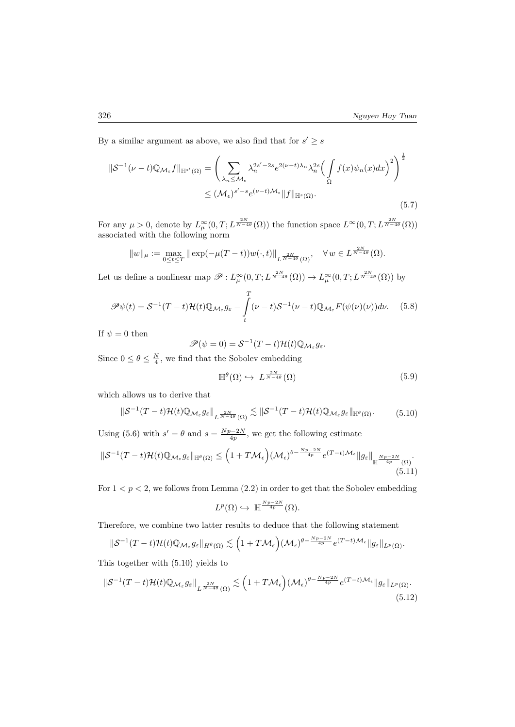By a similar argument as above, we also find that for  $s' \geq s$ 

$$
\|\mathcal{S}^{-1}(\nu-t)\mathbb{Q}_{\mathcal{M}_{\varepsilon}}f\|_{\mathbb{H}^{s'}(\Omega)} = \left(\sum_{\lambda_{n}\leq\mathcal{M}_{\varepsilon}}\lambda_{n}^{2s'-2s}e^{2(\nu-t)\lambda_{n}}\lambda_{n}^{2s}\left(\int_{\Omega}f(x)\psi_{n}(x)dx\right)^{2}\right)^{\frac{1}{2}}\leq (\mathcal{M}_{\varepsilon})^{s'-s}e^{(\nu-t)\mathcal{M}_{\varepsilon}}\|f\|_{\mathbb{H}^{s}(\Omega)}.
$$
\n(5.7)

For any  $\mu > 0$ , denote by  $L^{\infty}_{\mu}(0,T; L^{\frac{2N}{N-4\theta}}(\Omega))$  the function space  $L^{\infty}(0,T; L^{\frac{2N}{N-4\theta}}(\Omega))$ associated with the following norm

$$
||w||_{\mu} := \max_{0 \le t \le T} ||\exp(-\mu(T-t))w(\cdot,t)||_{L^{\frac{2N}{N-4\theta}}(\Omega)}, \quad \forall w \in L^{\frac{2N}{N-4\theta}}(\Omega).
$$

Let us define a nonlinear map  $\mathscr{P}: L^{\infty}_{\mu}(0,T; L^{\frac{2N}{N-4\theta}}(\Omega)) \to L^{\infty}_{\mu}(0,T; L^{\frac{2N}{N-4\theta}}(\Omega))$  by

$$
\mathscr{P}\psi(t) = \mathcal{S}^{-1}(T-t)\mathcal{H}(t)\mathbb{Q}_{\mathcal{M}_{\varepsilon}}g_{\varepsilon} - \int_{t}^{T} (\nu - t)\mathcal{S}^{-1}(\nu - t)\mathbb{Q}_{\mathcal{M}_{\varepsilon}}F(\psi(\nu)(\nu))d\nu.
$$
 (5.8)

If  $\psi = 0$  then

$$
\mathscr{P}(\psi=0)=\mathcal{S}^{-1}(T-t)\mathcal{H}(t)\mathbb{Q}_{\mathcal{M}_{\varepsilon}}g_{\varepsilon}.
$$

Since  $0 \le \theta \le \frac{N}{4}$ , we find that the Sobolev embedding

$$
\mathbb{H}^{\theta}(\Omega) \hookrightarrow L^{\frac{2N}{N-4\theta}}(\Omega) \tag{5.9}
$$

which allows us to derive that

$$
\|\mathcal{S}^{-1}(T-t)\mathcal{H}(t)\mathbb{Q}_{\mathcal{M}_{\varepsilon}}g_{\varepsilon}\|_{L^{\frac{2N}{N-4\theta}}(\Omega)} \lesssim \|\mathcal{S}^{-1}(T-t)\mathcal{H}(t)\mathbb{Q}_{\mathcal{M}_{\varepsilon}}g_{\varepsilon}\|_{\mathbb{H}^{\theta}(\Omega)}.
$$
 (5.10)

Using (5.6) with  $s' = \theta$  and  $s = \frac{Np-2N}{4p}$ , we get the following estimate  $\|\mathcal{S}^{-1}(T-t)\mathcal{H}(t)\mathbb{Q}_{\mathcal{M}_{\varepsilon}}g_{\varepsilon}\|_{\mathbb{H}^{\theta}(\Omega)}\leq \Big(1+T\mathcal{M}_{\epsilon}\Big)(\mathcal{M}_{\epsilon})^{\theta-\frac{Np-2N}{4p}}e^{(T-t)\mathcal{M}_{\epsilon}}\|g_{\varepsilon}\|_{\mathbb{H}^{\frac{Np-2N}{4p}}(\Omega)}.$  $(5.11)$ 

For  $1 < p < 2$ , we follows from Lemma  $(2.2)$  in order to get that the Sobolev embedding

$$
L^p(\Omega) \hookrightarrow \ \mathbb{H}^{\frac{Np-2N}{4p}}(\Omega).
$$

Therefore, we combine two latter results to deduce that the following statement

$$
\|\mathcal{S}^{-1}(T-t)\mathcal{H}(t)\mathbb{Q}_{\mathcal{M}_{\varepsilon}}g_{\varepsilon}\|_{H^{\theta}(\Omega)} \lesssim \Big(1+T\mathcal{M}_{\varepsilon}\Big)(\mathcal{M}_{\varepsilon})^{\theta-\frac{Np-2N}{4p}}e^{(T-t)\mathcal{M}_{\varepsilon}}\|g_{\varepsilon}\|_{L^{p}(\Omega)}.
$$

This together with (5.10) yields to

$$
\|\mathcal{S}^{-1}(T-t)\mathcal{H}(t)\mathbb{Q}_{\mathcal{M}_{\varepsilon}}g_{\varepsilon}\|_{L^{\frac{2N}{N-4\theta}}(\Omega)} \lesssim \Big(1+T\mathcal{M}_{\varepsilon}\Big)(\mathcal{M}_{\varepsilon})^{\theta-\frac{Np-2N}{4p}}e^{(T-t)\mathcal{M}_{\varepsilon}}\|g_{\varepsilon}\|_{L^{p}(\Omega)}.
$$
\n(5.12)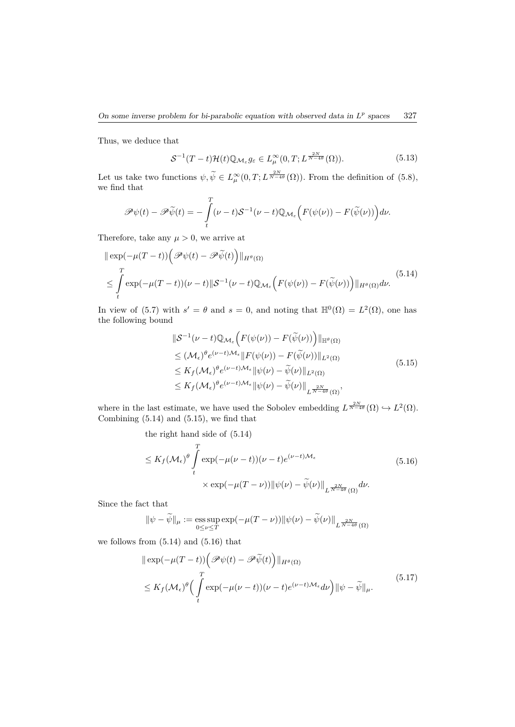Thus, we deduce that

$$
\mathcal{S}^{-1}(T-t)\mathcal{H}(t)\mathbb{Q}_{\mathcal{M}_{\varepsilon}}g_{\varepsilon} \in L^{\infty}_{\mu}(0,T;L^{\frac{2N}{N-4\theta}}(\Omega)).
$$
\n(5.13)

Let us take two functions  $\psi, \widetilde{\psi} \in L^{\infty}_{\mu}(0,T; L^{\frac{2N}{N-4\theta}}(\Omega))$ . From the definition of (5.8), we find that

$$
\mathscr{P}\psi(t) - \mathscr{P}\widetilde{\psi}(t) = -\int_{t}^{T} (\nu - t)\mathcal{S}^{-1}(\nu - t)\mathbb{Q}_{\mathcal{M}_{\varepsilon}}\Big(F(\psi(\nu)) - F(\widetilde{\psi}(\nu))\Big)d\nu.
$$

Therefore, take any  $\mu > 0$ , we arrive at

$$
\|\exp(-\mu(T-t))\Big(\mathcal{P}\psi(t)-\mathcal{P}\tilde{\psi}(t)\Big)\|_{H^{\theta}(\Omega)}
$$
\n
$$
\leq \int\limits_t^T \exp(-\mu(T-t))(\nu-t)\|\mathcal{S}^{-1}(\nu-t)\mathbb{Q}_{\mathcal{M}_{\varepsilon}}\Big(F(\psi(\nu))-F(\tilde{\psi}(\nu))\Big)\|_{H^{\theta}(\Omega)}d\nu.
$$
\n(5.14)

In view of (5.7) with  $s' = \theta$  and  $s = 0$ , and noting that  $\mathbb{H}^0(\Omega) = L^2(\Omega)$ , one has the following bound

$$
\|\mathcal{S}^{-1}(\nu - t)\mathbb{Q}_{\mathcal{M}_{\varepsilon}}\Big(F(\psi(\nu)) - F(\widetilde{\psi}(\nu))\Big)\|_{\mathbb{H}^{\theta}(\Omega)}
$$
  
\n
$$
\leq (\mathcal{M}_{\varepsilon})^{\theta} e^{(\nu - t)\mathcal{M}_{\varepsilon}} \|F(\psi(\nu)) - F(\widetilde{\psi}(\nu))\|_{L^{2}(\Omega)}
$$
  
\n
$$
\leq K_{f}(\mathcal{M}_{\varepsilon})^{\theta} e^{(\nu - t)\mathcal{M}_{\varepsilon}} \|\psi(\nu) - \widetilde{\psi}(\nu)\|_{L^{2}(\Omega)}
$$
  
\n
$$
\leq K_{f}(\mathcal{M}_{\varepsilon})^{\theta} e^{(\nu - t)\mathcal{M}_{\varepsilon}} \|\psi(\nu) - \widetilde{\psi}(\nu)\|_{L^{\frac{2N}{N - 4\theta}}(\Omega)},
$$
\n(5.15)

where in the last estimate, we have used the Sobolev embedding  $L^{\frac{2N}{N-4\theta}}(\Omega) \hookrightarrow L^2(\Omega)$ . Combining  $(5.14)$  and  $(5.15)$ , we find that

the right hand side of (5.14)

$$
\leq K_f(\mathcal{M}_{\epsilon})^{\theta} \int_{t}^{T} \exp(-\mu(\nu-t))(\nu-t)e^{(\nu-t)\mathcal{M}_{\epsilon}} \qquad (5.16)
$$

$$
\times \exp(-\mu(T-\nu)) \|\psi(\nu)-\widetilde{\psi}(\nu)\|_{L^{\frac{2N}{N-4\theta}}(\Omega)} d\nu.
$$

Since the fact that

$$
\|\psi-\tilde{\psi}\|_{\mu}:=\underset{0\leq \nu\leq T}{\mathrm{ess\,sup}}\exp(-\mu(T-\nu))\|\psi(\nu)-\tilde{\psi}(\nu)\|_{L^{\frac{2N}{N-4\theta}}(\Omega)}
$$

we follows from  $(5.14)$  and  $(5.16)$  that

$$
\|\exp(-\mu(T-t))\left(\mathcal{P}\psi(t)-\mathcal{P}\tilde{\psi}(t)\right)\|_{H^{\theta}(\Omega)}\leq K_f(\mathcal{M}_{\epsilon})^{\theta}\left(\int\limits_{t}^{T}\exp(-\mu(\nu-t))(\nu-t)e^{(\nu-t)\mathcal{M}_{\epsilon}}d\nu\right)\|\psi-\tilde{\psi}\|_{\mu}.
$$
\n(5.17)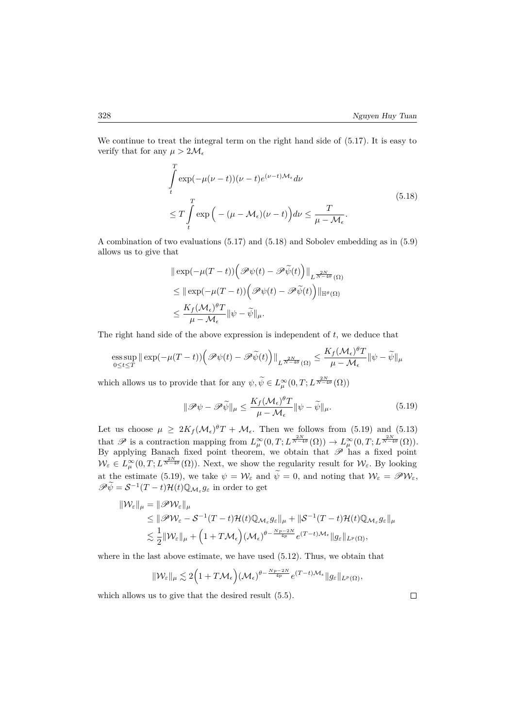We continue to treat the integral term on the right hand side of  $(5.17)$ . It is easy to verify that for any  $\mu > 2\mathcal{M}_{\epsilon}$ 

$$
\int_{t}^{T} \exp(-\mu(\nu - t))(\nu - t)e^{(\nu - t)\mathcal{M}_{\epsilon}} d\nu
$$
\n
$$
\leq T \int_{t}^{T} \exp\left(-(\mu - \mathcal{M}_{\epsilon})(\nu - t)\right) d\nu \leq \frac{T}{\mu - \mathcal{M}_{\epsilon}}.
$$
\n(5.18)

A combination of two evaluations (5.17) and (5.18) and Sobolev embedding as in (5.9) allows us to give that

$$
\begin{aligned} &\|\exp(-\mu(T-t))\Big(\mathscr{P}\psi(t)-\mathscr{P}\tilde{\psi}(t)\Big)\|_{L^{\frac{2N}{N-4\theta}}(\Omega)}\\ &\leq \|\exp(-\mu(T-t))\Big(\mathscr{P}\psi(t)-\mathscr{P}\tilde{\psi}(t)\Big)\|_{\mathbb{H}^{\theta}(\Omega)}\\ &\leq \frac{K_f(\mathcal{M}_{\epsilon})^{\theta}T}{\mu-\mathcal{M}_{\epsilon}}\|\psi-\tilde{\psi}\|_{\mu}. \end{aligned}
$$

The right hand side of the above expression is independent of *t*, we deduce that

$$
\underset{0\leq t\leq T}{\mathop{\rm ess\,sup}}\,\|\exp(-\mu(T-t))\Big(\mathscr{P}\psi(t)-\mathscr{P}\widetilde{\psi}(t)\Big)\|_{L^{\frac{2N}{N-4\theta}}(\Omega)}\leq \frac{K_f(\mathcal{M}_\epsilon)^\theta T}{\mu-\mathcal{M}_\epsilon}\|\psi-\widetilde{\psi}\|_\mu
$$

which allows us to provide that for any  $\psi, \widetilde{\psi} \in L^{\infty}_{\mu}(0,T; L^{\frac{2N}{N-4\theta}}(\Omega))$ 

$$
\|\mathscr{P}\psi - \mathscr{P}\tilde{\psi}\|_{\mu} \le \frac{K_f(\mathcal{M}_{\epsilon})^{\theta}T}{\mu - \mathcal{M}_{\epsilon}} \|\psi - \tilde{\psi}\|_{\mu}.
$$
 (5.19)

Let us choose  $\mu \geq 2K_f(\mathcal{M}_{\epsilon})^{\theta}T + \mathcal{M}_{\epsilon}$ . Then we follows from (5.19) and (5.13) that  $\mathscr{P}$  is a contraction mapping from  $L^{\infty}_{\mu}(0,T;L^{\frac{2N}{N-4\theta}}(\Omega)) \to L^{\infty}_{\mu}(0,T;L^{\frac{2N}{N-4\theta}}(\Omega)).$ By applying Banach fixed point theorem, we obtain that  $\mathscr P$  has a fixed point  $\mathcal{W}_{\varepsilon} \in L^{\infty}_{\mu}(0,T; L^{\frac{2N}{N-4\theta}}(\Omega)).$  Next, we show the regularity result for  $\mathcal{W}_{\varepsilon}$ . By looking at the estimate (5.19), we take  $\psi = \mathcal{W}_{\varepsilon}$  and  $\psi = 0$ , and noting that  $\mathcal{W}_{\varepsilon} = \mathscr{P} \mathcal{W}_{\varepsilon}$ ,  $\mathscr{P}\tilde{\psi} = \mathcal{S}^{-1}(T-t)\mathcal{H}(t)\mathbb{Q}_{\mathcal{M}_{\varepsilon}}g_{\varepsilon}$  in order to get

$$
\begin{aligned} \|\mathcal{W}_{\varepsilon}\|_{\mu} &= \|\mathscr{P}\mathcal{W}_{\varepsilon}\|_{\mu} \\ &\leq \|\mathscr{P}\mathcal{W}_{\varepsilon} - \mathcal{S}^{-1}(T-t)\mathcal{H}(t)\mathbb{Q}_{\mathcal{M}_{\varepsilon}}g_{\varepsilon}\|_{\mu} + \|\mathcal{S}^{-1}(T-t)\mathcal{H}(t)\mathbb{Q}_{\mathcal{M}_{\varepsilon}}g_{\varepsilon}\|_{\mu} \\ &\lesssim \frac{1}{2}\|\mathcal{W}_{\varepsilon}\|_{\mu} + \Big(1+T\mathcal{M}_{\varepsilon}\Big)(\mathcal{M}_{\varepsilon})^{\theta - \frac{Np-2N}{4p}}e^{(T-t)\mathcal{M}_{\varepsilon}}\|g_{\varepsilon}\|_{L^{p}(\Omega)}, \end{aligned}
$$

where in the last above estimate, we have used (5.12). Thus, we obtain that

$$
\| \mathcal{W}_{\varepsilon} \|_{\mu} \lesssim 2 \Big( 1 + T \mathcal{M}_{\epsilon} \Big) \big( \mathcal{M}_{\epsilon} \big)^{\theta - \frac{Np - 2N}{4p}} e^{(T-t) \mathcal{M}_{\epsilon}} \| g_{\varepsilon} \|_{L^{p}(\Omega)},
$$

which allows us to give that the desired result (5.5).

 $\Box$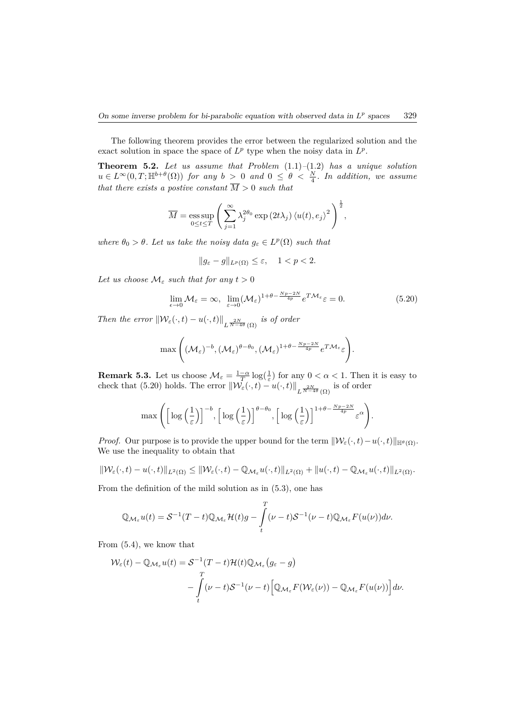The following theorem provides the error between the regularized solution and the exact solution in space the space of  $L^p$  type when the noisy data in  $L^p$ .

**Theorem 5.2.** *Let us assume that Problem* (1.1)*–*(1.2) *has a unique solution*  $u \in L^{\infty}(0,T;\mathbb{H}^{b+\theta}(\Omega))$  *for any*  $b > 0$  *and*  $0 \le \theta < \frac{N}{4}$ *. In addition, we assume that there exists a postive constant M >* 0 *such that*

$$
\overline{M} = \operatorname*{ess\,sup}_{0 \le t \le T} \left( \sum_{j=1}^{\infty} \lambda_j^{2\theta_0} \exp(2t\lambda_j) \langle u(t), e_j \rangle^2 \right)^{\frac{1}{2}},
$$

*where*  $\theta_0 > \theta$ *. Let us take the noisy data*  $g_{\varepsilon} \in L^p(\Omega)$  *such that* 

$$
||g_{\varepsilon}-g||_{L^p(\Omega)} \leq \varepsilon, \quad 1 < p < 2.
$$

*Let us choose*  $\mathcal{M}_{\varepsilon}$  *such that for any*  $t > 0$ 

$$
\lim_{\epsilon \to 0} \mathcal{M}_{\epsilon} = \infty, \ \lim_{\varepsilon \to 0} (\mathcal{M}_{\epsilon})^{1+\theta-\frac{Np-2N}{4p}} e^{T\mathcal{M}_{\epsilon}} \varepsilon = 0.
$$
\n(5.20)

*Then the error*  $\|\mathcal{W}_{\varepsilon}(\cdot,t) - u(\cdot,t)\|_{L^{\frac{2N}{N-4\theta}}(\Omega)}$  *is of order* 

$$
\max\Bigg((\mathcal{M}_{\varepsilon})^{-b},(\mathcal{M}_{\varepsilon})^{\theta-\theta_0},(\mathcal{M}_{\varepsilon})^{1+\theta-\frac{Np-2N}{4p}}e^{T\mathcal{M}_{\varepsilon}}\varepsilon\Bigg).
$$

**Remark 5.3.** Let us choose  $\mathcal{M}_{\varepsilon} = \frac{1-\alpha}{T} \log(\frac{1}{\varepsilon})$  for any  $0 < \alpha < 1$ . Then it is easy to check that (5.20) holds. The error  $\|\mathcal{W}_{\varepsilon}(\cdot,t) - u(\cdot,t)\|_{L^{\frac{2N}{N-4\theta}}(\Omega)}$  is of order

$$
\max\left(\left[\log\left(\frac{1}{\varepsilon}\right)\right]^{-b}, \left[\log\left(\frac{1}{\varepsilon}\right)\right]^{\theta-\theta_0}, \left[\log\left(\frac{1}{\varepsilon}\right)\right]^{1+\theta-\frac{Np-2N}{4p}}\varepsilon^{\alpha}\right).
$$

*Proof.* Our purpose is to provide the upper bound for the term  $\|\mathcal{W}_{\varepsilon}(\cdot,t)-u(\cdot,t)\|_{\mathbb{H}^{\theta}(\Omega)}$ . We use the inequality to obtain that

$$
\|\mathcal{W}_{\varepsilon}(\cdot,t)-u(\cdot,t)\|_{L^2(\Omega)}\leq \|\mathcal{W}_{\varepsilon}(\cdot,t)-\mathbb{Q}_{\mathcal{M}_{\varepsilon}}u(\cdot,t)\|_{L^2(\Omega)}+\|u(\cdot,t)-\mathbb{Q}_{\mathcal{M}_{\varepsilon}}u(\cdot,t)\|_{L^2(\Omega)}.
$$

From the definition of the mild solution as in (5.3), one has

$$
\mathbb{Q}_{\mathcal{M}_{\varepsilon}}u(t) = \mathcal{S}^{-1}(T-t)\mathbb{Q}_{\mathcal{M}_{\varepsilon}}\mathcal{H}(t)g - \int_{t}^{T} (\nu - t)\mathcal{S}^{-1}(\nu - t)\mathbb{Q}_{\mathcal{M}_{\varepsilon}}F(u(\nu))d\nu.
$$

From (5.4), we know that

$$
\mathcal{W}_{\varepsilon}(t) - \mathbb{Q}_{\mathcal{M}_{\varepsilon}}u(t) = \mathcal{S}^{-1}(T-t)\mathcal{H}(t)\mathbb{Q}_{\mathcal{M}_{\varepsilon}}(g_{\varepsilon} - g)
$$
  

$$
- \int_{t}^{T} (\nu - t)\mathcal{S}^{-1}(\nu - t) \Big[\mathbb{Q}_{\mathcal{M}_{\varepsilon}}F(\mathcal{W}_{\varepsilon}(\nu)) - \mathbb{Q}_{\mathcal{M}_{\varepsilon}}F(u(\nu))\Big]d\nu.
$$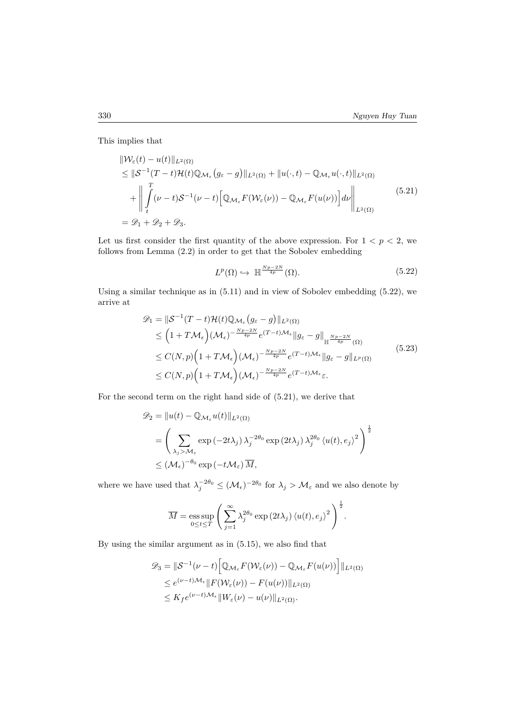This implies that

$$
\|W_{\varepsilon}(t) - u(t)\|_{L^{2}(\Omega)}\leq \|\mathcal{S}^{-1}(T-t)\mathcal{H}(t)\mathbb{Q}_{\mathcal{M}_{\varepsilon}}(g_{\varepsilon} - g)\|_{L^{2}(\Omega)} + \|u(\cdot,t) - \mathbb{Q}_{\mathcal{M}_{\varepsilon}}u(\cdot,t)\|_{L^{2}(\Omega)}+ \left\|\int_{t}^{T} (\nu - t)\mathcal{S}^{-1}(\nu - t)\left[\mathbb{Q}_{\mathcal{M}_{\varepsilon}}F(\mathcal{W}_{\varepsilon}(\nu)) - \mathbb{Q}_{\mathcal{M}_{\varepsilon}}F(u(\nu))\right]d\nu\right\|_{L^{2}(\Omega)} \tag{5.21}= \mathcal{D}_{1} + \mathcal{D}_{2} + \mathcal{D}_{3}.
$$

Let us first consider the first quantity of the above expression. For  $1 < p < 2$ , we follows from Lemma (2.2) in order to get that the Sobolev embedding

$$
L^p(\Omega) \hookrightarrow \mathbb{H}^{\frac{Np-2N}{4p}}(\Omega). \tag{5.22}
$$

Using a similar technique as in (5.11) and in view of Sobolev embedding (5.22), we arrive at

$$
\mathcal{D}_1 = \|\mathcal{S}^{-1}(T-t)\mathcal{H}(t)\mathbb{Q}_{\mathcal{M}_{\epsilon}}(g_{\epsilon} - g)\|_{L^2(\Omega)}
$$
\n
$$
\leq \left(1+T\mathcal{M}_{\epsilon}\right)(\mathcal{M}_{\epsilon})^{-\frac{Np-2N}{4p}}e^{(T-t)\mathcal{M}_{\epsilon}}\|g_{\epsilon} - g\|_{\mathbb{H}^{\frac{Np-2N}{4p}}(\Omega)}
$$
\n
$$
\leq C(N,p)\left(1+T\mathcal{M}_{\epsilon}\right)(\mathcal{M}_{\epsilon})^{-\frac{Np-2N}{4p}}e^{(T-t)\mathcal{M}_{\epsilon}}\|g_{\epsilon} - g\|_{L^p(\Omega)}
$$
\n
$$
\leq C(N,p)\left(1+T\mathcal{M}_{\epsilon}\right)(\mathcal{M}_{\epsilon})^{-\frac{Np-2N}{4p}}e^{(T-t)\mathcal{M}_{\epsilon}}\epsilon.
$$
\n(5.23)

For the second term on the right hand side of (5.21), we derive that

$$
\mathscr{D}_2 = ||u(t) - \mathbb{Q}_{\mathcal{M}_{\varepsilon}} u(t)||_{L^2(\Omega)}
$$
  
=  $\left(\sum_{\lambda_j > \mathcal{M}_{\varepsilon}} \exp(-2t\lambda_j) \lambda_j^{-2\theta_0} \exp(2t\lambda_j) \lambda_j^{2\theta_0} \langle u(t), e_j \rangle^2 \right)^{\frac{1}{2}}$   
 $\leq (\mathcal{M}_{\varepsilon})^{-\theta_0} \exp(-t\mathcal{M}_{\varepsilon}) \overline{M},$ 

where we have used that  $\lambda_j^{-2\theta_0} \leq (\mathcal{M}_{\epsilon})^{-2\theta_0}$  for  $\lambda_j > \mathcal{M}_{\epsilon}$  and we also denote by

$$
\overline{M} = \operatorname*{ess\,sup}_{0 \le t \le T} \left( \sum_{j=1}^{\infty} \lambda_j^{2\theta_0} \exp\left(2t\lambda_j\right) \langle u(t), e_j \rangle^2 \right)^{\frac{1}{2}}.
$$

By using the similar argument as in (5.15), we also find that

$$
\mathcal{D}_3 = \|\mathcal{S}^{-1}(\nu - t) \Big[ \mathbb{Q}_{\mathcal{M}_{\varepsilon}} F(\mathcal{W}_{\varepsilon}(\nu)) - \mathbb{Q}_{\mathcal{M}_{\varepsilon}} F(u(\nu)) \Big] \|_{L^2(\Omega)}
$$
  
\n
$$
\leq e^{(\nu - t)\mathcal{M}_{\varepsilon}} \| F(\mathcal{W}_{\varepsilon}(\nu)) - F(u(\nu)) \|_{L^2(\Omega)}
$$
  
\n
$$
\leq K_f e^{(\nu - t)\mathcal{M}_{\varepsilon}} \| W_{\varepsilon}(\nu) - u(\nu) \|_{L^2(\Omega)}.
$$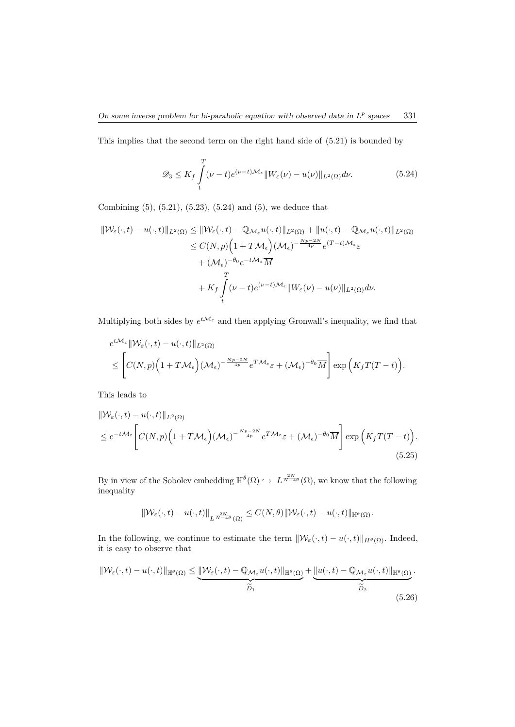This implies that the second term on the right hand side of (5.21) is bounded by

$$
\mathcal{D}_3 \le K_f \int\limits_t^T (\nu - t) e^{(\nu - t)\mathcal{M}_\epsilon} \|W_\varepsilon(\nu) - u(\nu)\|_{L^2(\Omega)} d\nu.
$$
 (5.24)

Combining (5), (5.21), (5.23), (5.24) and (5), we deduce that

$$
\begin{split} \|\mathcal{W}_{\varepsilon}(\cdot,t)-u(\cdot,t)\|_{L^{2}(\Omega)} &\leq \|\mathcal{W}_{\varepsilon}(\cdot,t)-\mathbb{Q}_{\mathcal{M}_{\varepsilon}}u(\cdot,t)\|_{L^{2}(\Omega)}+\|u(\cdot,t)-\mathbb{Q}_{\mathcal{M}_{\varepsilon}}u(\cdot,t)\|_{L^{2}(\Omega)}\\ &\leq C(N,p)\Big(1+T\mathcal{M}_{\varepsilon}\Big)(\mathcal{M}_{\varepsilon})^{-\frac{Np-2N}{4p}}e^{(T-t)\mathcal{M}_{\varepsilon}}\varepsilon\\ &\quad +(\mathcal{M}_{\varepsilon})^{-\theta_{0}}e^{-t\mathcal{M}_{\varepsilon}}\overline{M}\\ &\qquad +K_{f}\int\limits_{t}^{T}(\nu-t)e^{(\nu-t)\mathcal{M}_{\varepsilon}}\|W_{\varepsilon}(\nu)-u(\nu)\|_{L^{2}(\Omega)}d\nu. \end{split}
$$

Multiplying both sides by  $e^{t\mathcal{M}_{\varepsilon}}$  and then applying Gronwall's inequality, we find that

$$
e^{t\mathcal{M}_{\varepsilon}}\|\mathcal{W}_{\varepsilon}(\cdot,t)-u(\cdot,t)\|_{L^{2}(\Omega)}\n\leq \left[C(N,p)\Big(1+T\mathcal{M}_{\varepsilon}\Big)(\mathcal{M}_{\varepsilon})^{-\frac{Np-2N}{4p}}e^{T\mathcal{M}_{\varepsilon}}\varepsilon+(\mathcal{M}_{\varepsilon})^{-\theta_{0}}\overline{M}\right]\exp\Big(K_{f}T(T-t)\Big).
$$

This leads to

$$
\|W_{\varepsilon}(\cdot,t) - u(\cdot,t)\|_{L^{2}(\Omega)}
$$
  
\n
$$
\leq e^{-t\mathcal{M}_{\varepsilon}} \left[ C(N,p) \Big( 1 + T\mathcal{M}_{\varepsilon} \Big) (\mathcal{M}_{\varepsilon})^{-\frac{Np-2N}{4p}} e^{T\mathcal{M}_{\varepsilon}} \varepsilon + (\mathcal{M}_{\varepsilon})^{-\theta_{0}} \overline{M} \right] \exp\left( K_{f} T(T-t) \right). \tag{5.25}
$$

By in view of the Sobolev embedding  $\mathbb{H}^{\theta}(\Omega) \hookrightarrow L^{\frac{2N}{N-4\theta}}(\Omega)$ , we know that the following inequality

$$
\|\mathcal{W}_{\varepsilon}(\cdot,t)-u(\cdot,t)\|_{L^{\frac{2N}{N-4\theta}}(\Omega)}\leq C(N,\theta)\|\mathcal{W}_{\varepsilon}(\cdot,t)-u(\cdot,t)\|_{\mathbb{H}^{\theta}(\Omega)}.
$$

In the following, we continue to estimate the term  $\|\mathcal{W}_{\varepsilon}(\cdot,t) - u(\cdot,t)\|_{H^{\theta}(\Omega)}$ . Indeed, it is easy to observe that

$$
\|\mathcal{W}_{\varepsilon}(\cdot,t) - u(\cdot,t)\|_{\mathbb{H}^{\theta}(\Omega)} \leq \underbrace{\|\mathcal{W}_{\varepsilon}(\cdot,t) - \mathbb{Q}_{\mathcal{M}_{\varepsilon}}u(\cdot,t)\|_{\mathbb{H}^{\theta}(\Omega)}}_{\widetilde{D}_1} + \underbrace{\|u(\cdot,t) - \mathbb{Q}_{\mathcal{M}_{\varepsilon}}u(\cdot,t)\|_{\mathbb{H}^{\theta}(\Omega)}}_{\widetilde{D}_2}.
$$
\n(5.26)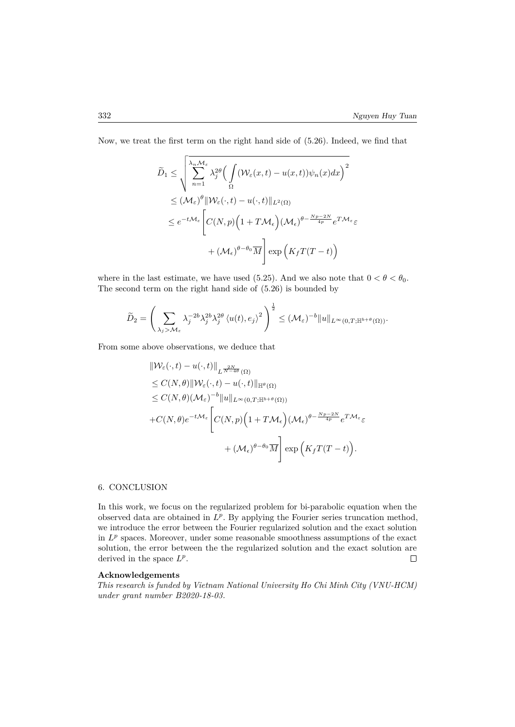Now, we treat the first term on the right hand side of (5.26). Indeed, we find that

$$
\widetilde{D}_1 \leq \sqrt{\sum_{n=1}^{\lambda_n M_{\epsilon}} \lambda_j^{2\theta} \Big(\int_{\Omega} (\mathcal{W}_{\epsilon}(x,t) - u(x,t)) \psi_n(x) dx\Big)^2}
$$
\n
$$
\leq (\mathcal{M}_{\epsilon})^{\theta} \|\mathcal{W}_{\epsilon}(\cdot,t) - u(\cdot,t)\|_{L^2(\Omega)}
$$
\n
$$
\leq e^{-t\mathcal{M}_{\epsilon}} \Bigg[C(N,p) \Big(1 + T\mathcal{M}_{\epsilon}\Big) (\mathcal{M}_{\epsilon})^{\theta - \frac{Np - 2N}{4p}} e^{T\mathcal{M}_{\epsilon}} \varepsilon
$$
\n
$$
+ (\mathcal{M}_{\epsilon})^{\theta - \theta_0} \overline{M} \Bigg] \exp\Big(K_f T(T-t)\Big)
$$

where in the last estimate, we have used (5.25). And we also note that  $0 < \theta < \theta_0$ . The second term on the right hand side of (5.26) is bounded by

$$
\widetilde{D}_2 = \left(\sum_{\lambda_j > \mathcal{M}_{\varepsilon}} \lambda_j^{-2b} \lambda_j^{2b} \lambda_j^{2\theta} \langle u(t), e_j \rangle^2\right)^{\frac{1}{2}} \leq (\mathcal{M}_{\varepsilon})^{-b} \|u\|_{L^{\infty}(0,T; \mathbb{H}^{b+\theta}(\Omega))}.
$$

From some above observations, we deduce that

$$
\|W_{\varepsilon}(\cdot,t) - u(\cdot,t)\|_{L^{\frac{2N}{N-4\theta}}(\Omega)}
$$
  
\n
$$
\leq C(N,\theta) \|W_{\varepsilon}(\cdot,t) - u(\cdot,t)\|_{\mathbb{H}^{\theta}(\Omega)}
$$
  
\n
$$
\leq C(N,\theta)(\mathcal{M}_{\varepsilon})^{-b} \|u\|_{L^{\infty}(0,T;\mathbb{H}^{b+\theta}(\Omega))}
$$
  
\n
$$
+ C(N,\theta)e^{-t\mathcal{M}_{\varepsilon}} \left[ C(N,p) \left(1+T\mathcal{M}_{\varepsilon}\right) (\mathcal{M}_{\varepsilon})^{\theta - \frac{Np-2N}{4p}} e^{T\mathcal{M}_{\varepsilon}} \varepsilon + (\mathcal{M}_{\varepsilon})^{\theta-\theta_0} \overline{M} \right] \exp\left(K_f T(T-t)\right).
$$

## 6. CONCLUSION

In this work, we focus on the regularized problem for bi-parabolic equation when the observed data are obtained in  $L^p$ . By applying the Fourier series truncation method, we introduce the error between the Fourier regularized solution and the exact solution in  $L^p$  spaces. Moreover, under some reasonable smoothness assumptions of the exact solution, the error between the the regularized solution and the exact solution are derived in the space  $L^p$ .  $\Box$ 

## **Acknowledgements**

*This research is funded by Vietnam National University Ho Chi Minh City (VNU-HCM) under grant number B2020-18-03.*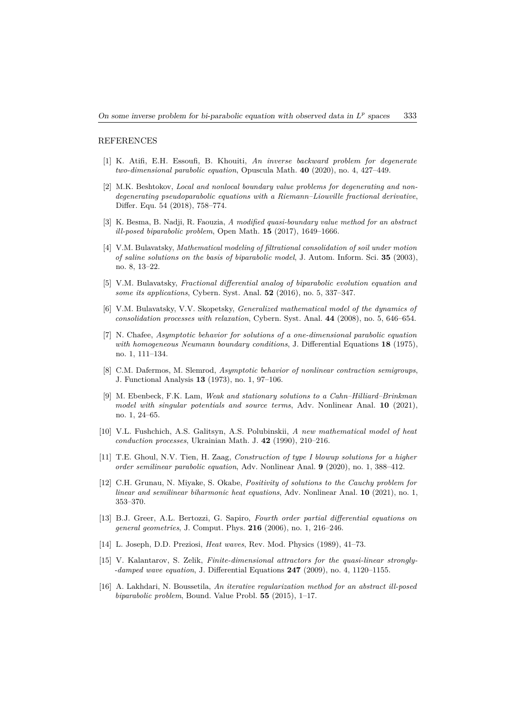#### REFERENCES

- [1] K. Atifi, E.H. Essoufi, B. Khouiti, *An inverse backward problem for degenerate two-dimensional parabolic equation*, Opuscula Math. **40** (2020), no. 4, 427–449.
- [2] M.K. Beshtokov, *Local and nonlocal boundary value problems for degenerating and nondegenerating pseudoparabolic equations with a Riemann–Liouville fractional derivative*, Differ. Equ. 54 (2018), 758–774.
- [3] K. Besma, B. Nadji, R. Faouzia, *A modified quasi-boundary value method for an abstract ill-posed biparabolic problem*, Open Math. **15** (2017), 1649–1666.
- [4] V.M. Bulavatsky, *Mathematical modeling of filtrational consolidation of soil under motion of saline solutions on the basis of biparabolic model*, J. Autom. Inform. Sci. **35** (2003), no. 8, 13–22.
- [5] V.M. Bulavatsky, *Fractional differential analog of biparabolic evolution equation and some its applications*, Cybern. Syst. Anal. **52** (2016), no. 5, 337–347.
- [6] V.M. Bulavatsky, V.V. Skopetsky, *Generalized mathematical model of the dynamics of consolidation processes with relaxation*, Cybern. Syst. Anal. **44** (2008), no. 5, 646–654.
- [7] N. Chafee, *Asymptotic behavior for solutions of a one-dimensional parabolic equation with homogeneous Neumann boundary conditions*, J. Differential Equations **18** (1975), no. 1, 111–134.
- [8] C.M. Dafermos, M. Slemrod, *Asymptotic behavior of nonlinear contraction semigroups*, J. Functional Analysis **13** (1973), no. 1, 97–106.
- [9] M. Ebenbeck, F.K. Lam, *Weak and stationary solutions to a Cahn–Hilliard–Brinkman model with singular potentials and source terms*, Adv. Nonlinear Anal. **10** (2021), no. 1, 24–65.
- [10] V.L. Fushchich, A.S. Galitsyn, A.S. Polubinskii, *A new mathematical model of heat conduction processes*, Ukrainian Math. J. **42** (1990), 210–216.
- [11] T.E. Ghoul, N.V. Tien, H. Zaag, *Construction of type I blowup solutions for a higher order semilinear parabolic equation*, Adv. Nonlinear Anal. **9** (2020), no. 1, 388–412.
- [12] C.H. Grunau, N. Miyake, S. Okabe, *Positivity of solutions to the Cauchy problem for linear and semilinear biharmonic heat equations*, Adv. Nonlinear Anal. **10** (2021), no. 1, 353–370.
- [13] B.J. Greer, A.L. Bertozzi, G. Sapiro, *Fourth order partial differential equations on general geometries*, J. Comput. Phys. **216** (2006), no. 1, 216–246.
- [14] L. Joseph, D.D. Preziosi, *Heat waves*, Rev. Mod. Physics (1989), 41–73.
- [15] V. Kalantarov, S. Zelik, *Finite-dimensional attractors for the quasi-linear strongly- -damped wave equation*, J. Differential Equations **247** (2009), no. 4, 1120–1155.
- [16] A. Lakhdari, N. Boussetila, *An iterative regularization method for an abstract ill-posed biparabolic problem*, Bound. Value Probl. **55** (2015), 1–17.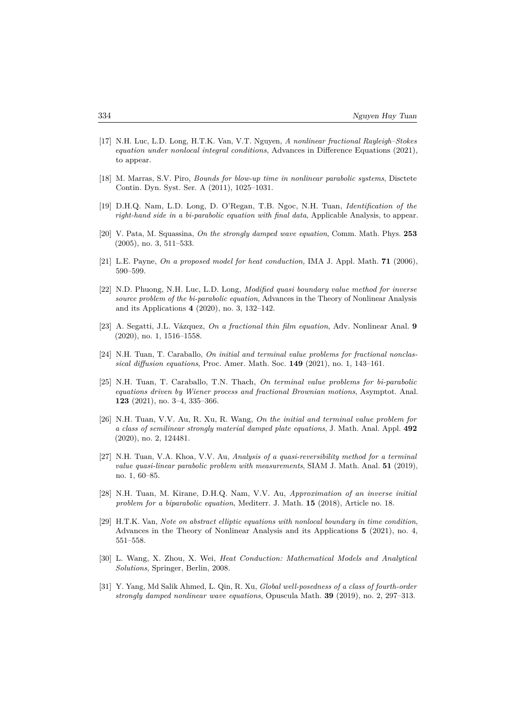- [17] N.H. Luc, L.D. Long, H.T.K. Van, V.T. Nguyen, *A nonlinear fractional Rayleigh–Stokes equation under nonlocal integral conditions*, Advances in Difference Equations (2021), to appear.
- [18] M. Marras, S.V. Piro, *Bounds for blow-up time in nonlinear parabolic systems*, Disctete Contin. Dyn. Syst. Ser. A (2011), 1025–1031.
- [19] D.H.Q. Nam, L.D. Long, D. O'Regan, T.B. Ngoc, N.H. Tuan, *Identification of the right-hand side in a bi-parabolic equation with final data*, Applicable Analysis, to appear.
- [20] V. Pata, M. Squassina, *On the strongly damped wave equation*, Comm. Math. Phys. **253** (2005), no. 3, 511–533.
- [21] L.E. Payne, *On a proposed model for heat conduction,* IMA J. Appl. Math. **71** (2006), 590–599.
- [22] N.D. Phuong, N.H. Luc, L.D. Long, *Modified quasi boundary value method for inverse source problem of the bi-parabolic equation*, Advances in the Theory of Nonlinear Analysis and its Applications **4** (2020), no. 3, 132–142.
- [23] A. Segatti, J.L. Vázquez, *On a fractional thin film equation*, Adv. Nonlinear Anal. **9** (2020), no. 1, 1516–1558.
- [24] N.H. Tuan, T. Caraballo, *On initial and terminal value problems for fractional nonclassical diffusion equations*, Proc. Amer. Math. Soc. **149** (2021), no. 1, 143–161.
- [25] N.H. Tuan, T. Caraballo, T.N. Thach, *On terminal value problems for bi-parabolic equations driven by Wiener process and fractional Brownian motions*, Asymptot. Anal. **123** (2021), no. 3–4, 335–366.
- [26] N.H. Tuan, V.V. Au, R. Xu, R. Wang, *On the initial and terminal value problem for a class of semilinear strongly material damped plate equations*, J. Math. Anal. Appl. **492** (2020), no. 2, 124481.
- [27] N.H. Tuan, V.A. Khoa, V.V. Au, *Analysis of a quasi-reversibility method for a terminal value quasi-linear parabolic problem with measurements*, SIAM J. Math. Anal. **51** (2019), no. 1, 60–85.
- [28] N.H. Tuan, M. Kirane, D.H.Q. Nam, V.V. Au, *Approximation of an inverse initial problem for a biparabolic equation*, Mediterr. J. Math. **15** (2018), Article no. 18.
- [29] H.T.K. Van, *Note on abstract elliptic equations with nonlocal boundary in time condition*, Advances in the Theory of Nonlinear Analysis and its Applications **5** (2021), no. 4, 551–558.
- [30] L. Wang, X. Zhou, X. Wei, *Heat Conduction: Mathematical Models and Analytical Solutions*, Springer, Berlin, 2008.
- [31] Y. Yang, Md Salik Ahmed, L. Qin, R. Xu, *Global well-posedness of a class of fourth-order strongly damped nonlinear wave equations*, Opuscula Math. **39** (2019), no. 2, 297–313.